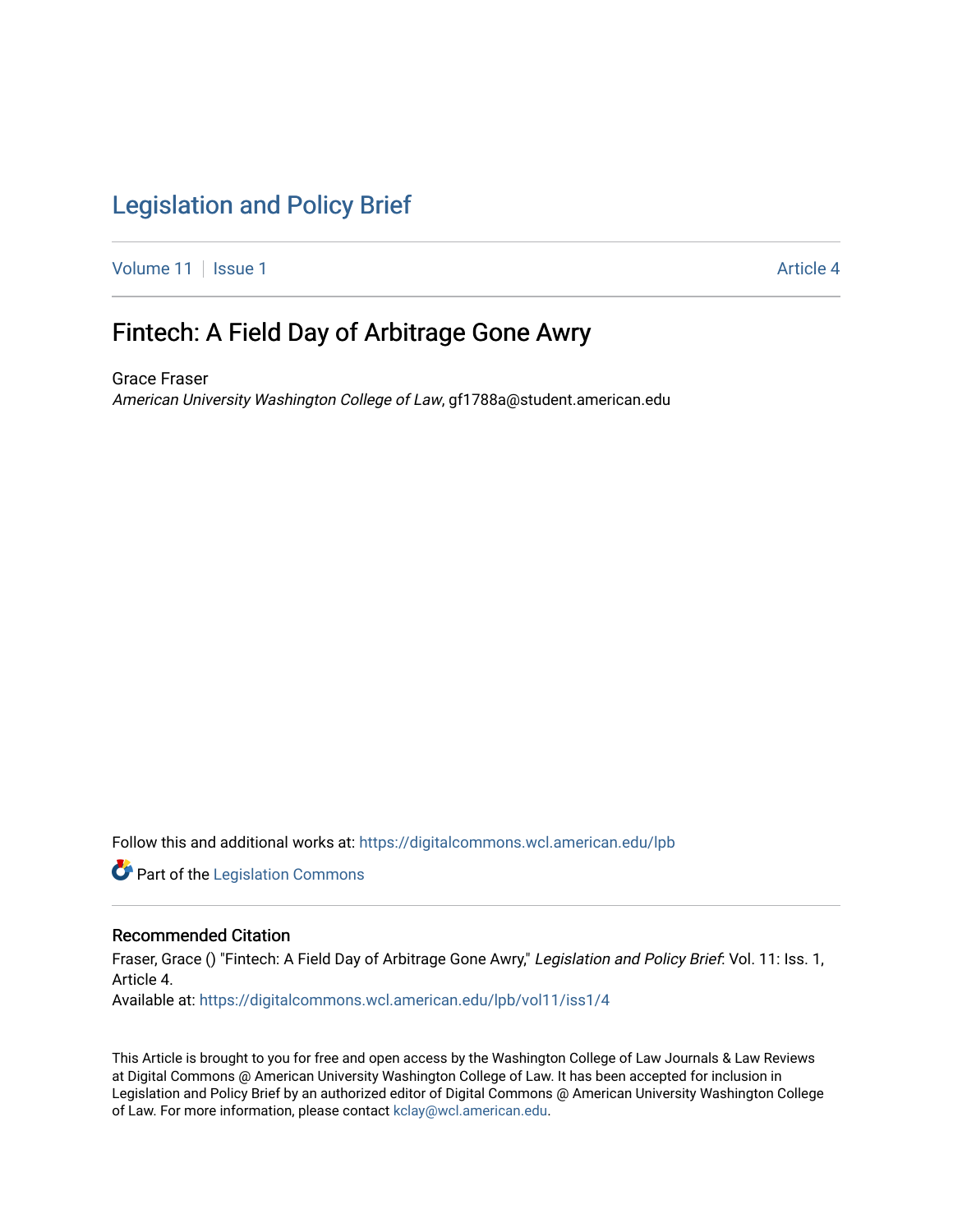## [Legislation and Policy Brief](https://digitalcommons.wcl.american.edu/lpb)

[Volume 11](https://digitalcommons.wcl.american.edu/lpb/vol11) | [Issue 1](https://digitalcommons.wcl.american.edu/lpb/vol11/iss1) Article 4

## Fintech: A Field Day of Arbitrage Gone Awry

Grace Fraser American University Washington College of Law, gf1788a@student.american.edu

Follow this and additional works at: [https://digitalcommons.wcl.american.edu/lpb](https://digitalcommons.wcl.american.edu/lpb?utm_source=digitalcommons.wcl.american.edu%2Flpb%2Fvol11%2Fiss1%2F4&utm_medium=PDF&utm_campaign=PDFCoverPages) 

Part of the [Legislation Commons](https://network.bepress.com/hgg/discipline/859?utm_source=digitalcommons.wcl.american.edu%2Flpb%2Fvol11%2Fiss1%2F4&utm_medium=PDF&utm_campaign=PDFCoverPages)

#### Recommended Citation

Fraser, Grace () "Fintech: A Field Day of Arbitrage Gone Awry," Legislation and Policy Brief: Vol. 11: Iss. 1, Article 4. Available at: [https://digitalcommons.wcl.american.edu/lpb/vol11/iss1/4](https://digitalcommons.wcl.american.edu/lpb/vol11/iss1/4?utm_source=digitalcommons.wcl.american.edu%2Flpb%2Fvol11%2Fiss1%2F4&utm_medium=PDF&utm_campaign=PDFCoverPages) 

This Article is brought to you for free and open access by the Washington College of Law Journals & Law Reviews at Digital Commons @ American University Washington College of Law. It has been accepted for inclusion in Legislation and Policy Brief by an authorized editor of Digital Commons @ American University Washington College of Law. For more information, please contact [kclay@wcl.american.edu.](mailto:kclay@wcl.american.edu)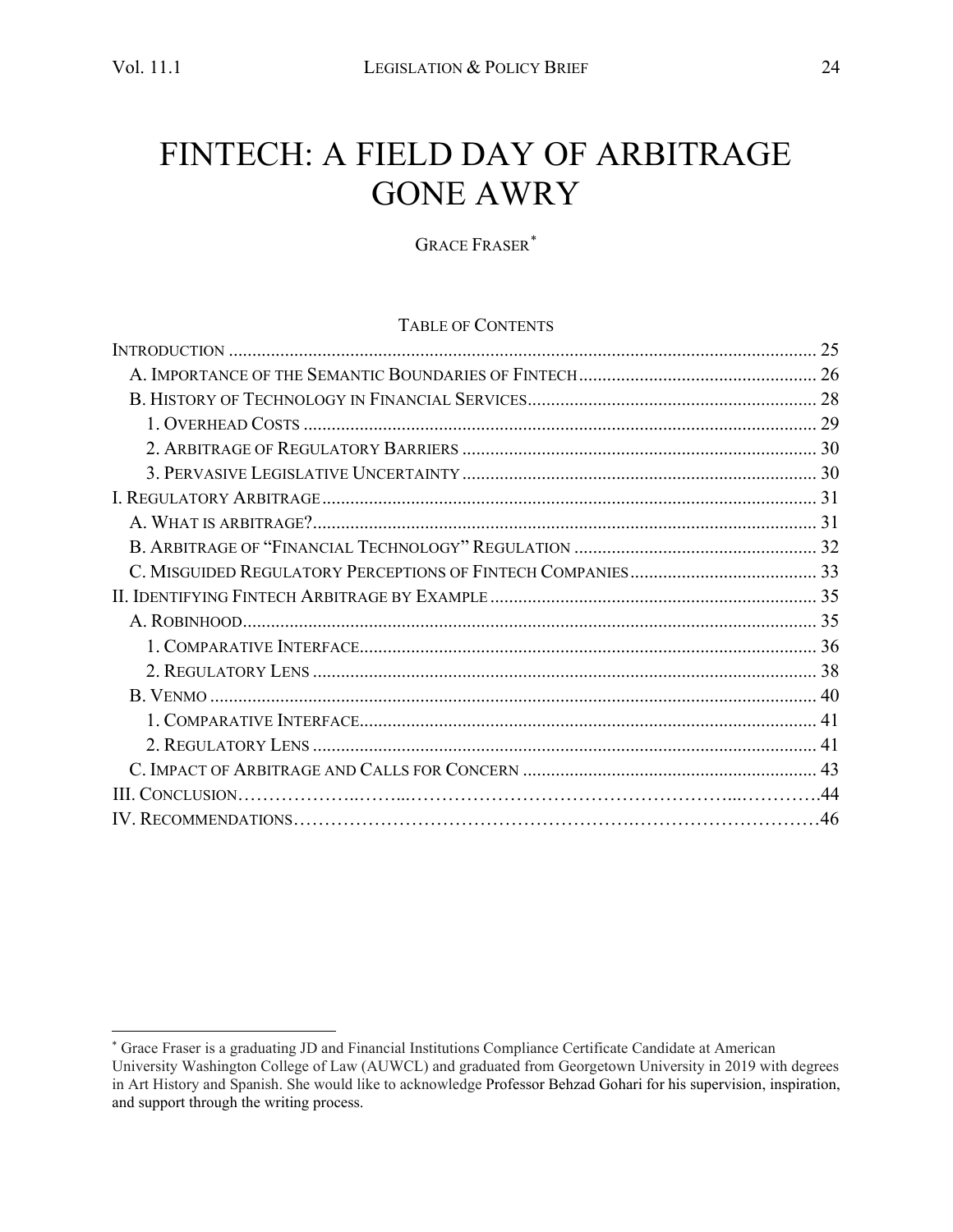# FINTECH: A FIELD DAY OF ARBITRAGE GONE AWRY

GRACE FRASER[\\*](#page-1-0)

#### TABLE OF CONTENTS

| 25 |
|----|
|    |
|    |
|    |
|    |
|    |
|    |
|    |
|    |
|    |
|    |
|    |
|    |
|    |
|    |
|    |
|    |
|    |
|    |
|    |
|    |

<span id="page-1-0"></span><sup>\*</sup> Grace Fraser is a graduating JD and Financial Institutions Compliance Certificate Candidate at American University Washington College of Law (AUWCL) and graduated from Georgetown University in 2019 with degrees in Art History and Spanish. She would like to acknowledge Professor Behzad Gohari for his supervision, inspiration, and support through the writing process.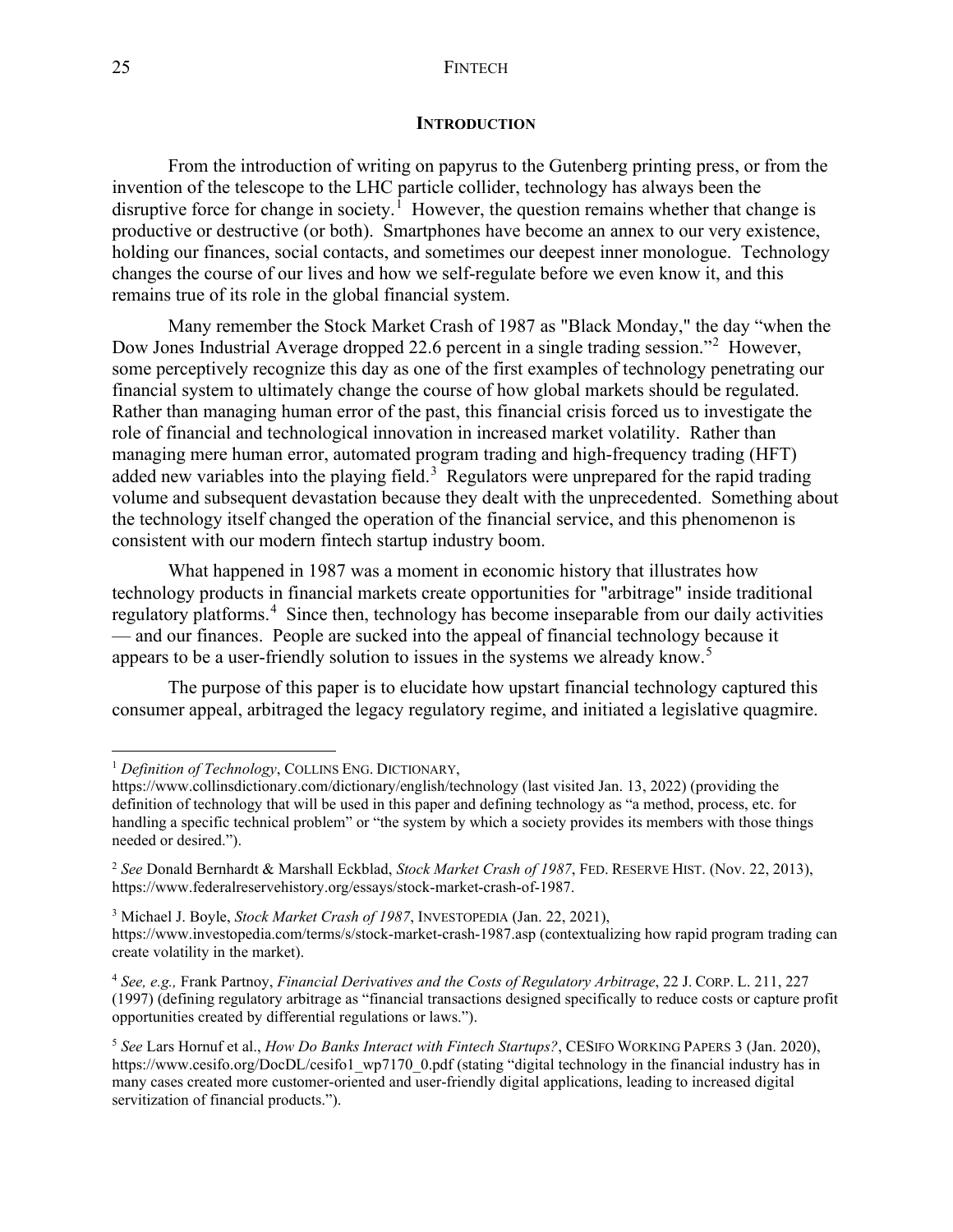#### 25 FINTECH

#### **INTRODUCTION**

<span id="page-2-0"></span>From the introduction of writing on papyrus to the Gutenberg printing press, or from the invention of the telescope to the LHC particle collider, technology has always been the disruptive force for change in society.<sup> $\overline{1}$  $\overline{1}$  $\overline{1}$ </sup> However, the question remains whether that change is productive or destructive (or both). Smartphones have become an annex to our very existence, holding our finances, social contacts, and sometimes our deepest inner monologue. Technology changes the course of our lives and how we self-regulate before we even know it, and this remains true of its role in the global financial system.

Many remember the Stock Market Crash of 1987 as "Black Monday," the day "when the Dow Jones Industrial Average dropped 22.6 percent in a single trading session."[2](#page-2-2) However, some perceptively recognize this day as one of the first examples of technology penetrating our financial system to ultimately change the course of how global markets should be regulated. Rather than managing human error of the past, this financial crisis forced us to investigate the role of financial and technological innovation in increased market volatility. Rather than managing mere human error, automated program trading and high-frequency trading (HFT) added new variables into the playing field.<sup>[3](#page-2-3)</sup> Regulators were unprepared for the rapid trading volume and subsequent devastation because they dealt with the unprecedented. Something about the technology itself changed the operation of the financial service, and this phenomenon is consistent with our modern fintech startup industry boom.

What happened in 1987 was a moment in economic history that illustrates how technology products in financial markets create opportunities for "arbitrage" inside traditional regulatory platforms.<sup>[4](#page-2-4)</sup> Since then, technology has become inseparable from our daily activities — and our finances. People are sucked into the appeal of financial technology because it appears to be a user-friendly solution to issues in the systems we already know.<sup>[5](#page-2-5)</sup>

The purpose of this paper is to elucidate how upstart financial technology captured this consumer appeal, arbitraged the legacy regulatory regime, and initiated a legislative quagmire.

<span id="page-2-1"></span><sup>&</sup>lt;sup>1</sup> *Definition of Technology*, COLLINS ENG. DICTIONARY,

https://www.collinsdictionary.com/dictionary/english/technology (last visited Jan. 13, 2022) (providing the definition of technology that will be used in this paper and defining technology as "a method, process, etc. for handling a specific technical problem" or "the system by which a society provides its members with those things needed or desired.").

<span id="page-2-2"></span><sup>2</sup> *See* Donald Bernhardt & Marshall Eckblad, *Stock Market Crash of 1987*, FED. RESERVE HIST. (Nov. 22, 2013), https://www.federalreservehistory.org/essays/stock-market-crash-of-1987.

<span id="page-2-3"></span><sup>3</sup> Michael J. Boyle, *Stock Market Crash of 1987*, INVESTOPEDIA (Jan. 22, 2021), https://www.investopedia.com/terms/s/stock-market-crash-1987.asp (contextualizing how rapid program trading can create volatility in the market).

<span id="page-2-4"></span><sup>4</sup> *See, e.g.,* Frank Partnoy, *Financial Derivatives and the Costs of Regulatory Arbitrage*, 22 J. CORP. L. 211, 227 (1997) (defining regulatory arbitrage as "financial transactions designed specifically to reduce costs or capture profit opportunities created by differential regulations or laws.").

<span id="page-2-5"></span><sup>5</sup> *See* Lars Hornuf et al., *How Do Banks Interact with Fintech Startups?*, CESIFO WORKING PAPERS 3 (Jan. 2020), https://www.cesifo.org/DocDL/cesifo1\_wp7170\_0.pdf (stating "digital technology in the financial industry has in many cases created more customer-oriented and user-friendly digital applications, leading to increased digital servitization of financial products.").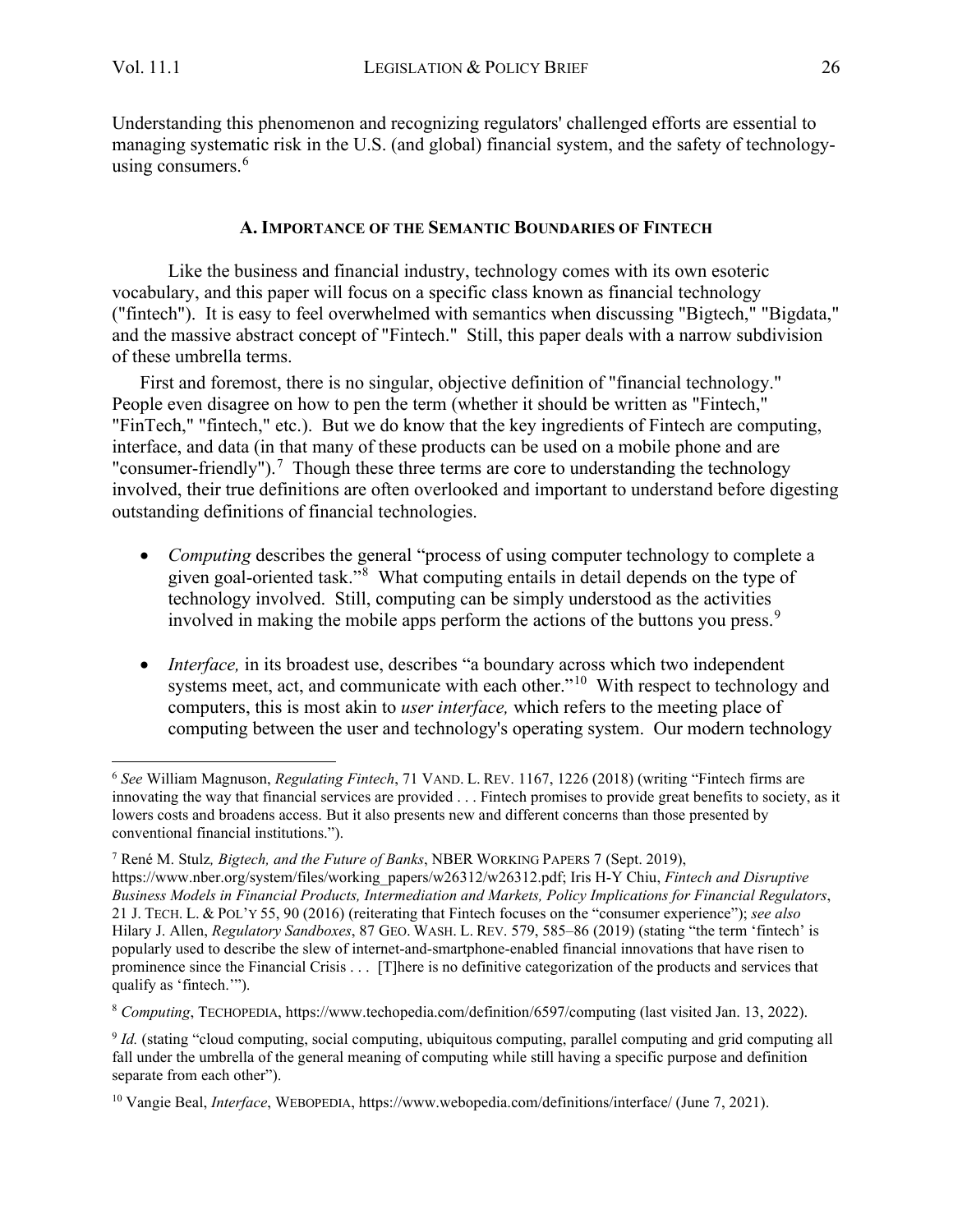Understanding this phenomenon and recognizing regulators' challenged efforts are essential to managing systematic risk in the U.S. (and global) financial system, and the safety of technology-using consumers.<sup>[6](#page-3-1)</sup>

#### **A. IMPORTANCE OF THE SEMANTIC BOUNDARIES OF FINTECH**

<span id="page-3-0"></span>Like the business and financial industry, technology comes with its own esoteric vocabulary, and this paper will focus on a specific class known as financial technology ("fintech"). It is easy to feel overwhelmed with semantics when discussing "Bigtech," "Bigdata," and the massive abstract concept of "Fintech." Still, this paper deals with a narrow subdivision of these umbrella terms.

First and foremost, there is no singular, objective definition of "financial technology." People even disagree on how to pen the term (whether it should be written as "Fintech," "FinTech," "fintech," etc.). But we do know that the key ingredients of Fintech are computing, interface, and data (in that many of these products can be used on a mobile phone and are "consumer-friendly").<sup>[7](#page-3-2)</sup> Though these three terms are core to understanding the technology involved, their true definitions are often overlooked and important to understand before digesting outstanding definitions of financial technologies.

- *Computing describes the general "process of using computer technology to complete a* given goal-oriented task."[8](#page-3-3) What computing entails in detail depends on the type of technology involved. Still, computing can be simply understood as the activities involved in making the mobile apps perform the actions of the buttons you press.<sup>[9](#page-3-4)</sup>
- *Interface*, in its broadest use, describes "a boundary across which two independent systems meet, act, and communicate with each other."<sup>[10](#page-3-5)</sup> With respect to technology and computers, this is most akin to *user interface,* which refers to the meeting place of computing between the user and technology's operating system. Our modern technology

<span id="page-3-1"></span><sup>6</sup> *See* William Magnuson, *Regulating Fintech*, 71 VAND. L. REV. 1167, 1226 (2018) (writing "Fintech firms are innovating the way that financial services are provided . . . Fintech promises to provide great benefits to society, as it lowers costs and broadens access. But it also presents new and different concerns than those presented by conventional financial institutions.").

<span id="page-3-2"></span><sup>7</sup> René M. Stulz*, Bigtech, and the Future of Banks*, NBER WORKING PAPERS 7 (Sept. 2019), https://www.nber.org/system/files/working\_papers/w26312/w26312.pdf; Iris H-Y Chiu, *Fintech and Disruptive Business Models in Financial Products, Intermediation and Markets, Policy Implications for Financial Regulators*, 21 J. TECH. L. & POL'Y 55, 90 (2016) (reiterating that Fintech focuses on the "consumer experience"); *see also*  Hilary J. Allen, *Regulatory Sandboxes*, 87 GEO. WASH. L. REV. 579, 585–86 (2019) (stating "the term 'fintech' is popularly used to describe the slew of internet-and-smartphone-enabled financial innovations that have risen to prominence since the Financial Crisis . . . [T]here is no definitive categorization of the products and services that qualify as 'fintech.'").

<span id="page-3-3"></span><sup>8</sup> *Computing*, TECHOPEDIA, https://www.techopedia.com/definition/6597/computing (last visited Jan. 13, 2022).

<span id="page-3-4"></span><sup>9</sup> *Id.* (stating "cloud computing, social computing, ubiquitous computing, parallel computing and grid computing all fall under the umbrella of the general meaning of computing while still having a specific purpose and definition separate from each other").

<span id="page-3-5"></span><sup>10</sup> Vangie Beal, *Interface*, WEBOPEDIA, https://www.webopedia.com/definitions/interface/ (June 7, 2021).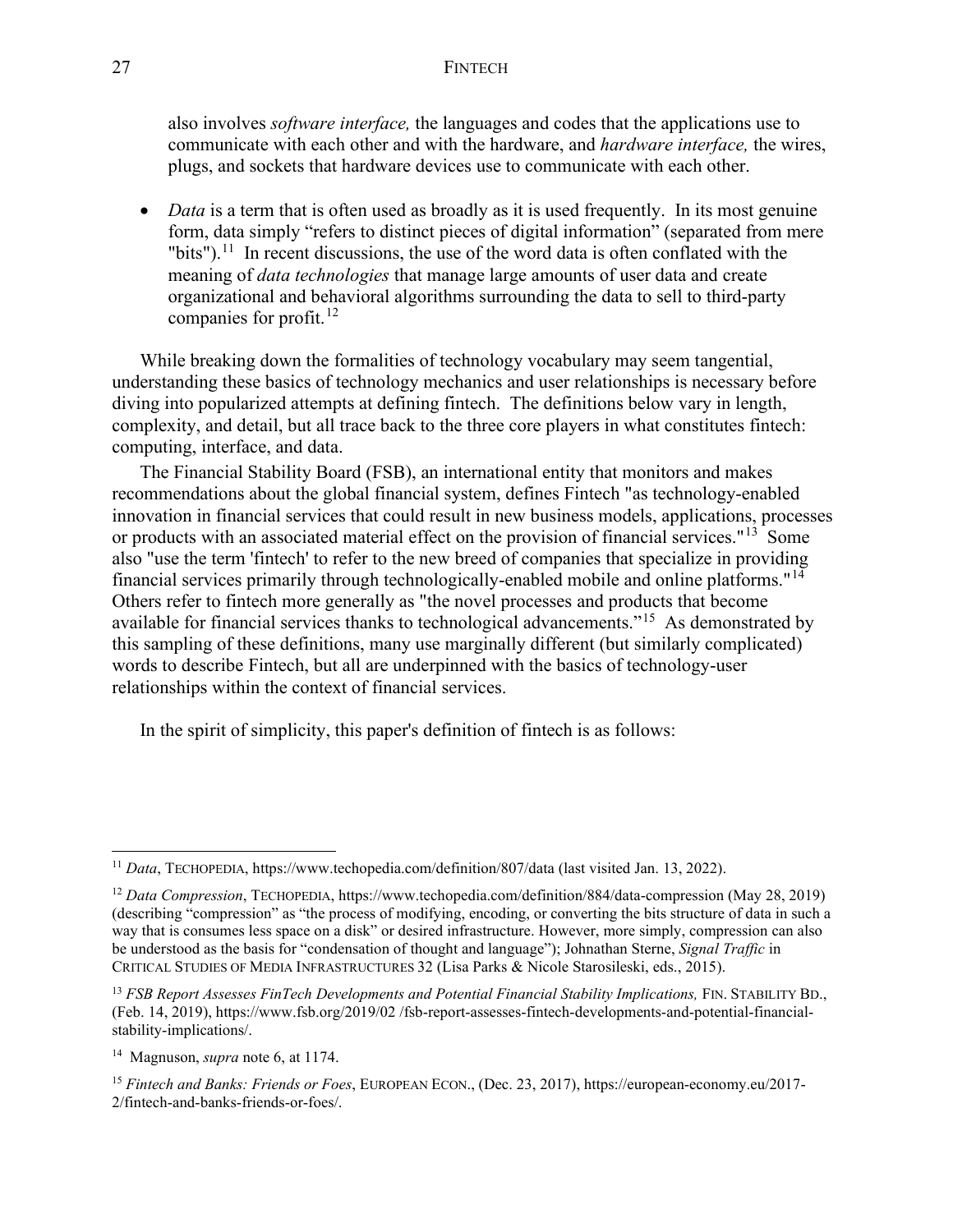#### 27 FINTECH

also involves *software interface,* the languages and codes that the applications use to communicate with each other and with the hardware, and *hardware interface,* the wires, plugs, and sockets that hardware devices use to communicate with each other.

• *Data* is a term that is often used as broadly as it is used frequently. In its most genuine form, data simply "refers to distinct pieces of digital information" (separated from mere "bits").<sup>[11](#page-4-0)</sup> In recent discussions, the use of the word data is often conflated with the meaning of *data technologies* that manage large amounts of user data and create organizational and behavioral algorithms surrounding the data to sell to third-party companies for profit. [12](#page-4-1)

While breaking down the formalities of technology vocabulary may seem tangential, understanding these basics of technology mechanics and user relationships is necessary before diving into popularized attempts at defining fintech. The definitions below vary in length, complexity, and detail, but all trace back to the three core players in what constitutes fintech: computing, interface, and data.

The Financial Stability Board (FSB), an international entity that monitors and makes recommendations about the global financial system, defines Fintech "as technology-enabled innovation in financial services that could result in new business models, applications, processes or products with an associated material effect on the provision of financial services."<sup>[13](#page-4-2)</sup> Some also "use the term 'fintech' to refer to the new breed of companies that specialize in providing financial services primarily through technologically-enabled mobile and online platforms."[14](#page-4-3) Others refer to fintech more generally as "the novel processes and products that become available for financial services thanks to technological advancements."[15](#page-4-4) As demonstrated by this sampling of these definitions, many use marginally different (but similarly complicated) words to describe Fintech, but all are underpinned with the basics of technology-user relationships within the context of financial services.

In the spirit of simplicity, this paper's definition of fintech is as follows:

<span id="page-4-0"></span><sup>11</sup> *Data*, TECHOPEDIA, https://www.techopedia.com/definition/807/data (last visited Jan. 13, 2022).

<span id="page-4-1"></span><sup>12</sup> *Data Compression*, TECHOPEDIA, https://www.techopedia.com/definition/884/data-compression (May 28, 2019) (describing "compression" as "the process of modifying, encoding, or converting the bits structure of data in such a way that is consumes less space on a disk" or desired infrastructure. However, more simply, compression can also be understood as the basis for "condensation of thought and language"); Johnathan Sterne, *Signal Traffic* in CRITICAL STUDIES OF MEDIA INFRASTRUCTURES 32 (Lisa Parks & Nicole Starosileski, eds., 2015).

<span id="page-4-2"></span><sup>&</sup>lt;sup>13</sup> *FSB Report Assesses FinTech Developments and Potential Financial Stability Implications, FIN. STABILITY BD.,* (Feb. 14, 2019), https://www.fsb.org/2019/02 /fsb-report-assesses-fintech-developments-and-potential-financialstability-implications/.

<span id="page-4-3"></span><sup>14</sup> Magnuson, *supra* note 6, at 1174.

<span id="page-4-4"></span><sup>15</sup> *Fintech and Banks: Friends or Foes*, EUROPEAN ECON., (Dec. 23, 2017), https://european-economy.eu/2017- 2/fintech-and-banks-friends-or-foes/.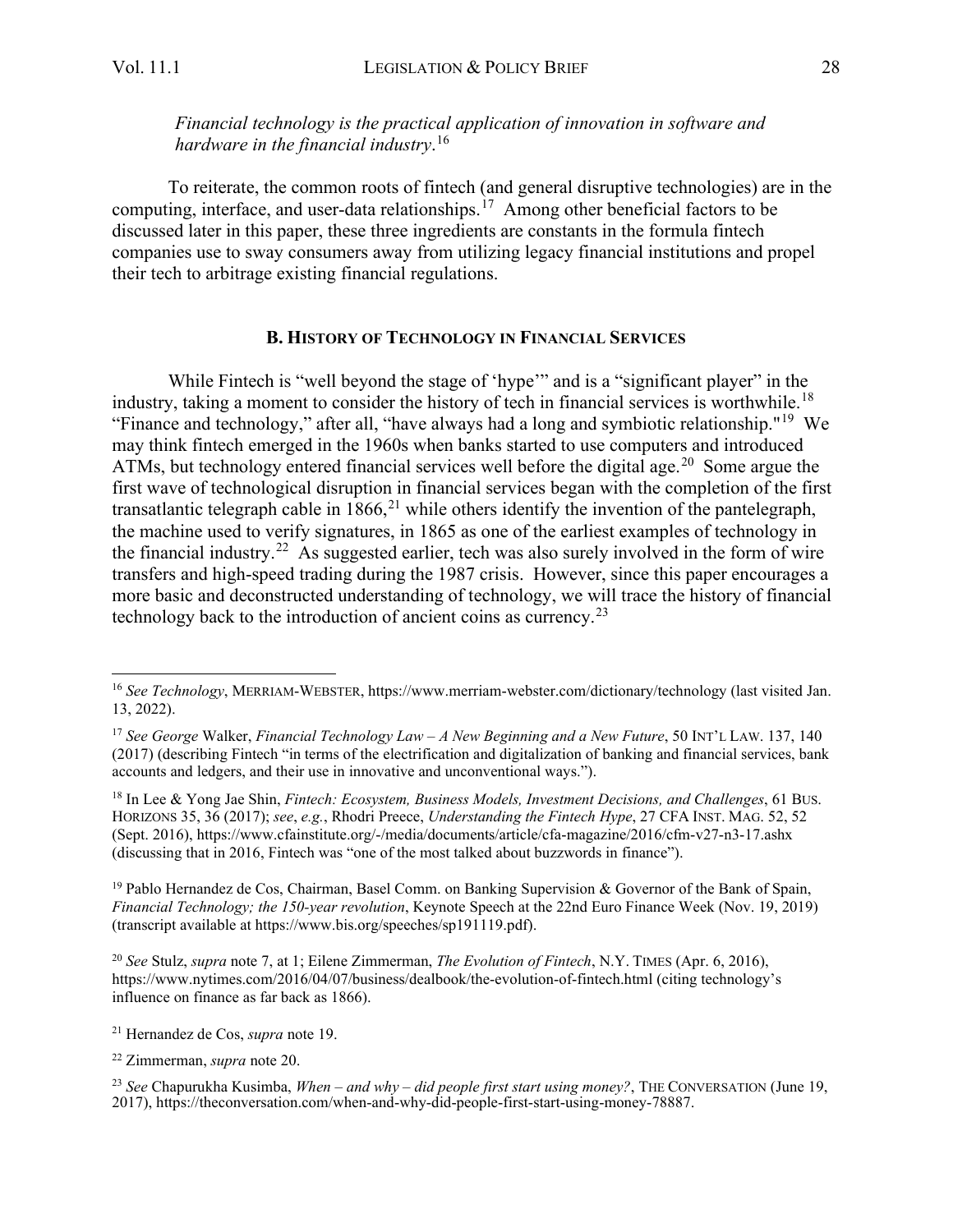*Financial technology is the practical application of innovation in software and hardware in the financial industry*. [16](#page-5-1)

To reiterate, the common roots of fintech (and general disruptive technologies) are in the computing, interface, and user-data relationships.<sup>[17](#page-5-2)</sup> Among other beneficial factors to be discussed later in this paper, these three ingredients are constants in the formula fintech companies use to sway consumers away from utilizing legacy financial institutions and propel their tech to arbitrage existing financial regulations.

#### **B. HISTORY OF TECHNOLOGY IN FINANCIAL SERVICES**

<span id="page-5-0"></span>While Fintech is "well beyond the stage of 'hype'" and is a "significant player" in the industry, taking a moment to consider the history of tech in financial services is worthwhile.<sup>[18](#page-5-3)</sup> "Finance and technology," after all, "have always had a long and symbiotic relationship."[19](#page-5-4) We may think fintech emerged in the 1960s when banks started to use computers and introduced ATMs, but technology entered financial services well before the digital age.<sup>[20](#page-5-5)</sup> Some argue the first wave of technological disruption in financial services began with the completion of the first transatlantic telegraph cable in  $1866$ ,<sup>[21](#page-5-6)</sup> while others identify the invention of the pantelegraph, the machine used to verify signatures, in 1865 as one of the earliest examples of technology in the financial industry.<sup>[22](#page-5-7)</sup> As suggested earlier, tech was also surely involved in the form of wire transfers and high-speed trading during the 1987 crisis. However, since this paper encourages a more basic and deconstructed understanding of technology, we will trace the history of financial technology back to the introduction of ancient coins as currency.<sup>[23](#page-5-8)</sup>

<span id="page-5-3"></span><sup>18</sup> In Lee & Yong Jae Shin, *Fintech: Ecosystem, Business Models, Investment Decisions, and Challenges*, 61 BUS. HORIZONS 35, 36 (2017); *see*, *e.g.*, Rhodri Preece, *Understanding the Fintech Hype*, 27 CFA INST. MAG. 52, 52 (Sept. 2016), https://www.cfainstitute.org/-/media/documents/article/cfa-magazine/2016/cfm-v27-n3-17.ashx (discussing that in 2016, Fintech was "one of the most talked about buzzwords in finance").

<span id="page-5-4"></span><sup>19</sup> Pablo Hernandez de Cos, Chairman, Basel Comm. on Banking Supervision & Governor of the Bank of Spain, *Financial Technology; the 150-year revolution*, Keynote Speech at the 22nd Euro Finance Week (Nov. 19, 2019) (transcript available at https://www.bis.org/speeches/sp191119.pdf).

<span id="page-5-5"></span><sup>20</sup> *See* Stulz, *supra* note 7, at 1; Eilene Zimmerman, *The Evolution of Fintech*, N.Y. TIMES (Apr. 6, 2016), https://www.nytimes.com/2016/04/07/business/dealbook/the-evolution-of-fintech.html (citing technology's influence on finance as far back as 1866).

<span id="page-5-6"></span><sup>21</sup> Hernandez de Cos, *supra* note 19.

<span id="page-5-7"></span><sup>22</sup> Zimmerman, *supra* note 20.

<span id="page-5-1"></span><sup>16</sup> *See Technology*, MERRIAM-WEBSTER, https://www.merriam-webster.com/dictionary/technology (last visited Jan. 13, 2022).

<span id="page-5-2"></span><sup>17</sup> *See George* Walker, *Financial Technology Law – A New Beginning and a New Future*, 50 INT'L LAW. 137, 140 (2017) (describing Fintech "in terms of the electrification and digitalization of banking and financial services, bank accounts and ledgers, and their use in innovative and unconventional ways.").

<span id="page-5-8"></span><sup>23</sup> *See* Chapurukha Kusimba, *When – and why – did people first start using money?*, THE CONVERSATION (June 19, 2017), https://theconversation.com/when-and-why-did-people-first-start-using-money-78887.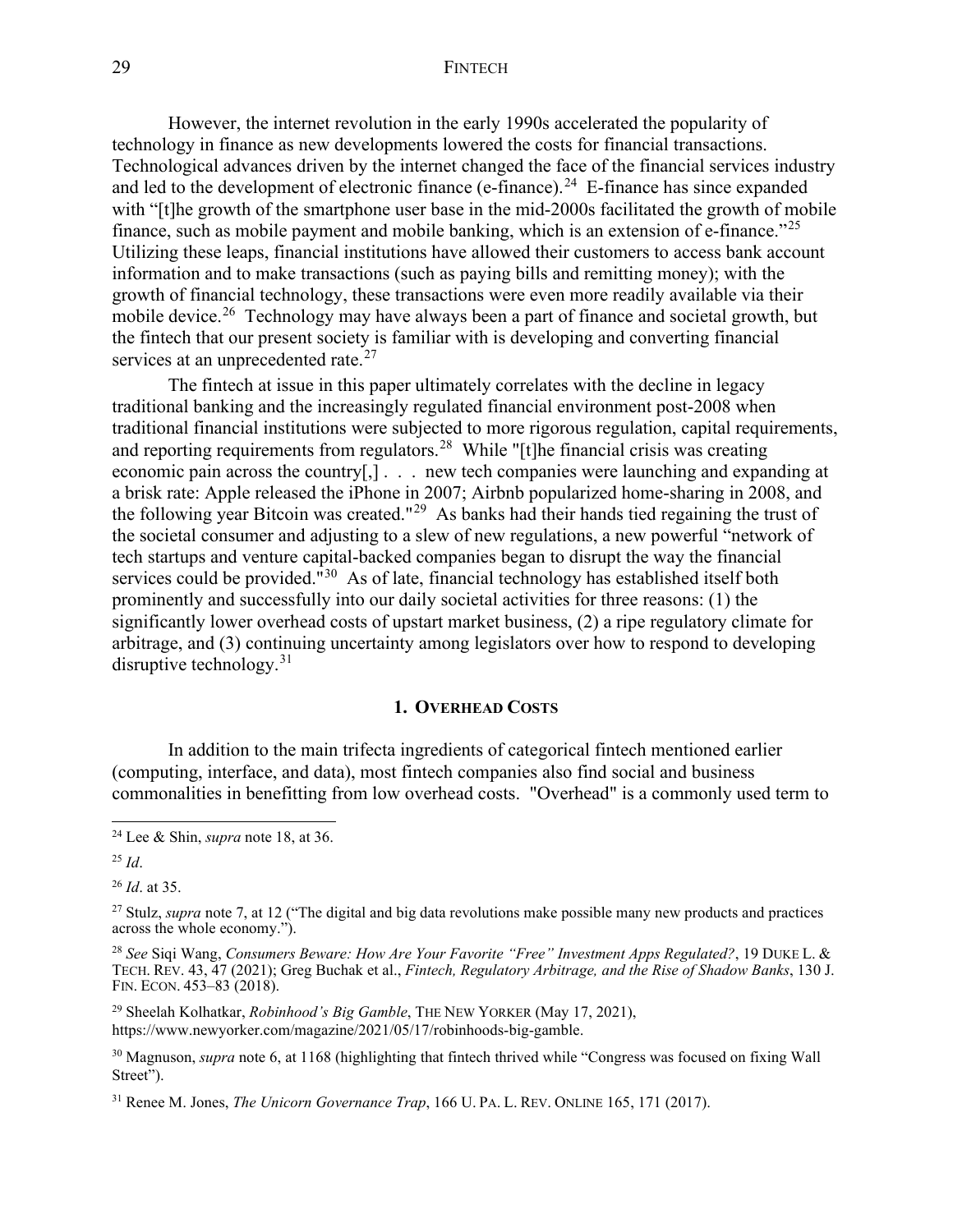#### 29 FINTECH

However, the internet revolution in the early 1990s accelerated the popularity of technology in finance as new developments lowered the costs for financial transactions. Technological advances driven by the internet changed the face of the financial services industry and led to the development of electronic finance (e-finance).<sup>[24](#page-6-1)</sup> E-finance has since expanded with "[t]he growth of the smartphone user base in the mid-2000s facilitated the growth of mobile finance, such as mobile payment and mobile banking, which is an extension of e-finance."<sup>[25](#page-6-2)</sup> Utilizing these leaps, financial institutions have allowed their customers to access bank account information and to make transactions (such as paying bills and remitting money); with the growth of financial technology, these transactions were even more readily available via their mobile device.<sup>[26](#page-6-3)</sup> Technology may have always been a part of finance and societal growth, but the fintech that our present society is familiar with is developing and converting financial services at an unprecedented rate.<sup>[27](#page-6-4)</sup>

The fintech at issue in this paper ultimately correlates with the decline in legacy traditional banking and the increasingly regulated financial environment post-2008 when traditional financial institutions were subjected to more rigorous regulation, capital requirements, and reporting requirements from regulators.<sup>[28](#page-6-5)</sup> While "[t]he financial crisis was creating economic pain across the country[,] . . . new tech companies were launching and expanding at a brisk rate: Apple released the iPhone in 2007; Airbnb popularized home-sharing in 2008, and the following year Bitcoin was created."[29](#page-6-6) As banks had their hands tied regaining the trust of the societal consumer and adjusting to a slew of new regulations, a new powerful "network of tech startups and venture capital-backed companies began to disrupt the way the financial services could be provided."<sup>[30](#page-6-7)</sup> As of late, financial technology has established itself both prominently and successfully into our daily societal activities for three reasons: (1) the significantly lower overhead costs of upstart market business, (2) a ripe regulatory climate for arbitrage, and (3) continuing uncertainty among legislators over how to respond to developing disruptive technology.  $31$ 

#### **1. OVERHEAD COSTS**

<span id="page-6-0"></span>In addition to the main trifecta ingredients of categorical fintech mentioned earlier (computing, interface, and data), most fintech companies also find social and business commonalities in benefitting from low overhead costs. "Overhead" is a commonly used term to

<span id="page-6-3"></span><sup>26</sup> *Id*. at 35.

<span id="page-6-5"></span><sup>28</sup> *See* Siqi Wang, *Consumers Beware: How Are Your Favorite "Free" Investment Apps Regulated?*, 19 DUKE L. & TECH. REV. 43, 47 (2021); Greg Buchak et al., *Fintech, Regulatory Arbitrage, and the Rise of Shadow Banks*, 130 J. FIN. ECON. 453–83 (2018).

<span id="page-6-6"></span><sup>29</sup> Sheelah Kolhatkar, *Robinhood's Big Gamble*, THE NEW YORKER (May 17, 2021), https://www.newyorker.com/magazine/2021/05/17/robinhoods-big-gamble.

<span id="page-6-1"></span><sup>24</sup> Lee & Shin, *supra* note 18, at 36.

<span id="page-6-2"></span><sup>25</sup> *Id*.

<span id="page-6-4"></span><sup>27</sup> Stulz, *supra* note 7, at 12 ("The digital and big data revolutions make possible many new products and practices across the whole economy.").

<span id="page-6-7"></span><sup>30</sup> Magnuson, *supra* note 6, at 1168 (highlighting that fintech thrived while "Congress was focused on fixing Wall Street").

<span id="page-6-8"></span><sup>31</sup> Renee M. Jones, *The Unicorn Governance Trap*, 166 U. PA. L. REV. ONLINE 165, 171 (2017).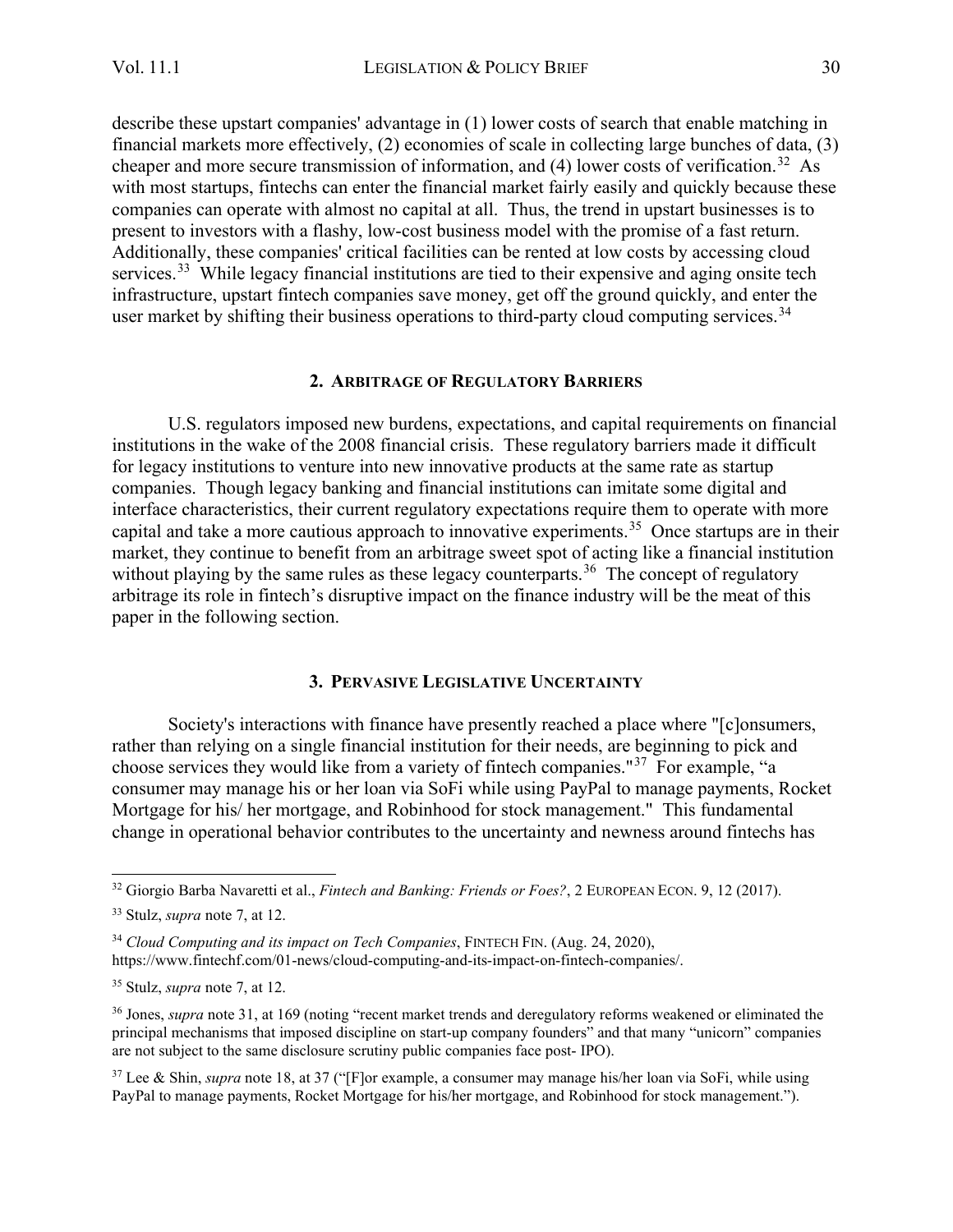describe these upstart companies' advantage in (1) lower costs of search that enable matching in financial markets more effectively, (2) economies of scale in collecting large bunches of data, (3) cheaper and more secure transmission of information, and  $(4)$  lower costs of verification.<sup>[32](#page-7-2)</sup> As with most startups, fintechs can enter the financial market fairly easily and quickly because these companies can operate with almost no capital at all. Thus, the trend in upstart businesses is to present to investors with a flashy, low-cost business model with the promise of a fast return. Additionally, these companies' critical facilities can be rented at low costs by accessing cloud services.<sup>[33](#page-7-3)</sup> While legacy financial institutions are tied to their expensive and aging onsite tech infrastructure, upstart fintech companies save money, get off the ground quickly, and enter the user market by shifting their business operations to third-party cloud computing services.<sup>34</sup>

#### **2. ARBITRAGE OF REGULATORY BARRIERS**

<span id="page-7-0"></span>U.S. regulators imposed new burdens, expectations, and capital requirements on financial institutions in the wake of the 2008 financial crisis. These regulatory barriers made it difficult for legacy institutions to venture into new innovative products at the same rate as startup companies. Though legacy banking and financial institutions can imitate some digital and interface characteristics, their current regulatory expectations require them to operate with more capital and take a more cautious approach to innovative experiments.[35](#page-7-5) Once startups are in their market, they continue to benefit from an arbitrage sweet spot of acting like a financial institution without playing by the same rules as these legacy counterparts.<sup>[36](#page-7-6)</sup> The concept of regulatory arbitrage its role in fintech's disruptive impact on the finance industry will be the meat of this paper in the following section.

#### **3. PERVASIVE LEGISLATIVE UNCERTAINTY**

<span id="page-7-1"></span>Society's interactions with finance have presently reached a place where "[c]onsumers, rather than relying on a single financial institution for their needs, are beginning to pick and choose services they would like from a variety of fintech companies."[37](#page-7-7) For example, "a consumer may manage his or her loan via SoFi while using PayPal to manage payments, Rocket Mortgage for his/ her mortgage, and Robinhood for stock management." This fundamental change in operational behavior contributes to the uncertainty and newness around fintechs has

<span id="page-7-2"></span><sup>32</sup> Giorgio Barba Navaretti et al., *Fintech and Banking: Friends or Foes?*, 2 EUROPEAN ECON. 9, 12 (2017).

<span id="page-7-3"></span><sup>33</sup> Stulz, *supra* note 7, at 12.

<span id="page-7-4"></span><sup>&</sup>lt;sup>34</sup> Cloud Computing and its impact on Tech Companies, FINTECH FIN. (Aug. 24, 2020), https://www.fintechf.com/01-news/cloud-computing-and-its-impact-on-fintech-companies/.

<span id="page-7-5"></span><sup>35</sup> Stulz, *supra* note 7, at 12.

<span id="page-7-6"></span><sup>36</sup> Jones, *supra* note 31, at 169 (noting "recent market trends and deregulatory reforms weakened or eliminated the principal mechanisms that imposed discipline on start-up company founders" and that many "unicorn" companies are not subject to the same disclosure scrutiny public companies face post- IPO).

<span id="page-7-7"></span><sup>37</sup> Lee & Shin, *supra* note 18, at 37 ("[F]or example, a consumer may manage his/her loan via SoFi, while using PayPal to manage payments, Rocket Mortgage for his/her mortgage, and Robinhood for stock management.").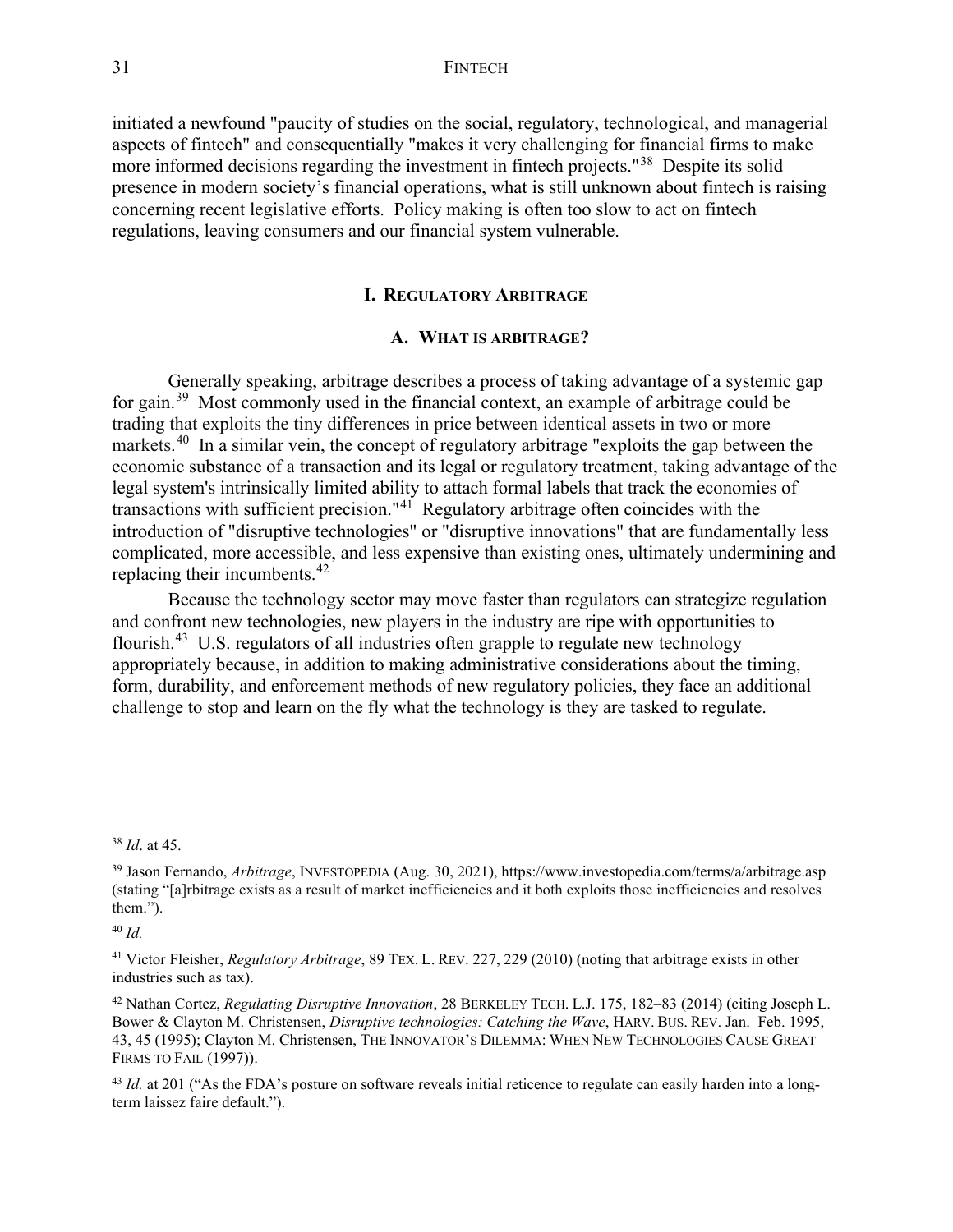initiated a newfound "paucity of studies on the social, regulatory, technological, and managerial aspects of fintech" and consequentially "makes it very challenging for financial firms to make more informed decisions regarding the investment in fintech projects."<sup>38</sup> Despite its solid presence in modern society's financial operations, what is still unknown about fintech is raising concerning recent legislative efforts. Policy making is often too slow to act on fintech regulations, leaving consumers and our financial system vulnerable.

#### **I. REGULATORY ARBITRAGE**

#### **A. WHAT IS ARBITRAGE?**

<span id="page-8-1"></span><span id="page-8-0"></span>Generally speaking, arbitrage describes a process of taking advantage of a systemic gap for gain.<sup>[39](#page-8-3)</sup> Most commonly used in the financial context, an example of arbitrage could be trading that exploits the tiny differences in price between identical assets in two or more markets.<sup>40</sup> In a similar vein, the concept of regulatory arbitrage "exploits the gap between the economic substance of a transaction and its legal or regulatory treatment, taking advantage of the legal system's intrinsically limited ability to attach formal labels that track the economies of transactions with sufficient precision."[41](#page-8-5) Regulatory arbitrage often coincides with the introduction of "disruptive technologies" or "disruptive innovations" that are fundamentally less complicated, more accessible, and less expensive than existing ones, ultimately undermining and replacing their incumbents.<sup>42</sup>

Because the technology sector may move faster than regulators can strategize regulation and confront new technologies, new players in the industry are ripe with opportunities to flourish.<sup>43</sup> U.S. regulators of all industries often grapple to regulate new technology appropriately because, in addition to making administrative considerations about the timing, form, durability, and enforcement methods of new regulatory policies, they face an additional challenge to stop and learn on the fly what the technology is they are tasked to regulate.

<span id="page-8-2"></span><sup>38</sup> *Id*. at 45.

<span id="page-8-3"></span><sup>39</sup> Jason Fernando, *Arbitrage*, INVESTOPEDIA (Aug. 30, 2021), https://www.investopedia.com/terms/a/arbitrage.asp (stating "[a]rbitrage exists as a result of market inefficiencies and it both exploits those inefficiencies and resolves them.").

<span id="page-8-4"></span><sup>40</sup> *Id.*

<span id="page-8-5"></span><sup>41</sup> Victor Fleisher, *Regulatory Arbitrage*, 89 TEX. L. REV. 227, 229 (2010) (noting that arbitrage exists in other industries such as tax).

<span id="page-8-6"></span><sup>42</sup> Nathan Cortez, *Regulating Disruptive Innovation*, 28 BERKELEY TECH. L.J. 175, 182–83 (2014) (citing Joseph L. Bower & Clayton M. Christensen, *Disruptive technologies: Catching the Wave*, HARV. BUS. REV. Jan.–Feb. 1995, 43, 45 (1995); Clayton M. Christensen, THE INNOVATOR'S DILEMMA: WHEN NEW TECHNOLOGIES CAUSE GREAT FIRMS TO FAIL (1997)).

<span id="page-8-7"></span><sup>&</sup>lt;sup>43</sup> *Id.* at 201 ("As the FDA's posture on software reveals initial reticence to regulate can easily harden into a longterm laissez faire default.").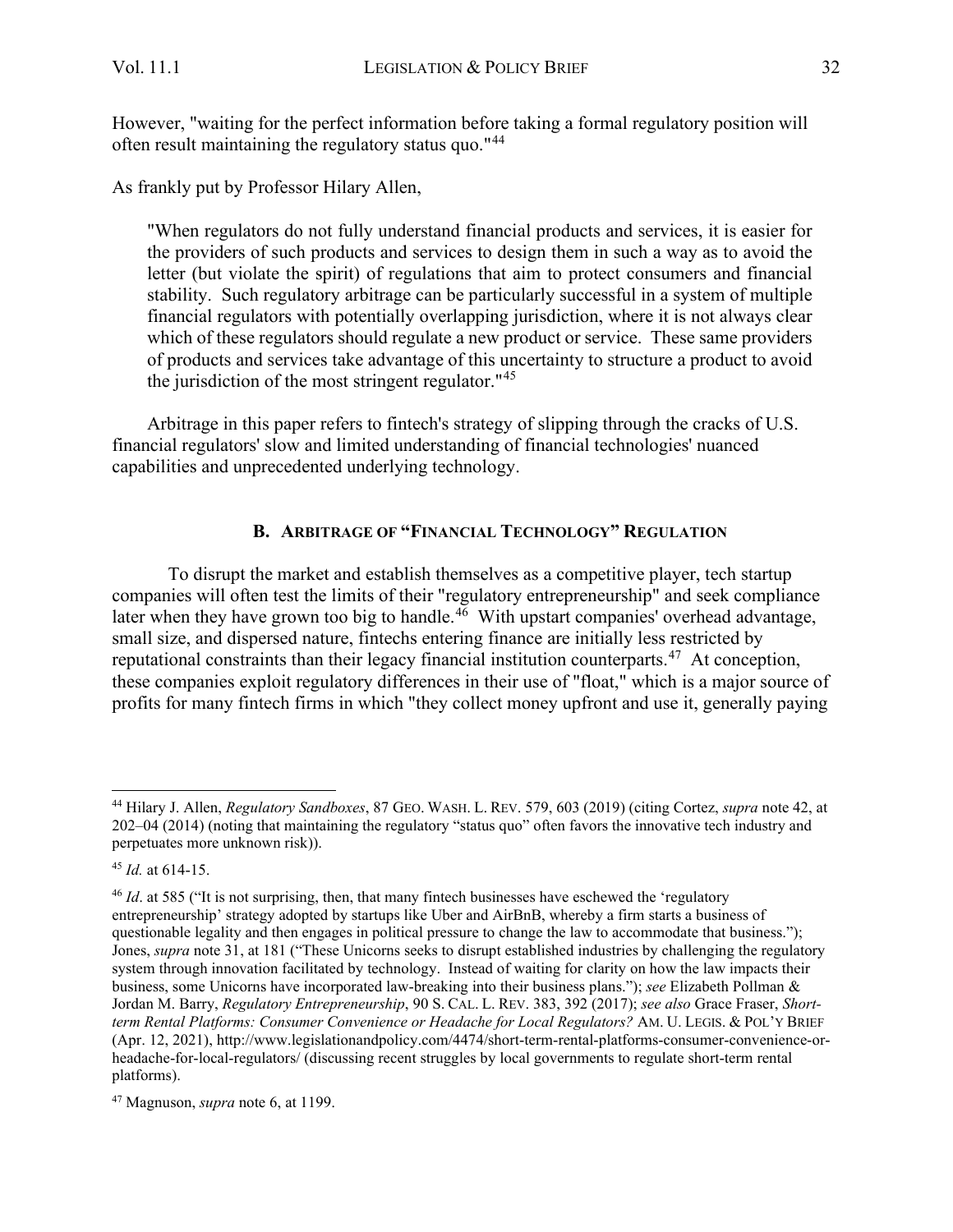As frankly put by Professor Hilary Allen,

"When regulators do not fully understand financial products and services, it is easier for the providers of such products and services to design them in such a way as to avoid the letter (but violate the spirit) of regulations that aim to protect consumers and financial stability. Such regulatory arbitrage can be particularly successful in a system of multiple financial regulators with potentially overlapping jurisdiction, where it is not always clear which of these regulators should regulate a new product or service. These same providers of products and services take advantage of this uncertainty to structure a product to avoid the jurisdiction of the most stringent regulator.<sup> $145$ </sup>

Arbitrage in this paper refers to fintech's strategy of slipping through the cracks of U.S. financial regulators' slow and limited understanding of financial technologies' nuanced capabilities and unprecedented underlying technology.

### **B. ARBITRAGE OF "FINANCIAL TECHNOLOGY" REGULATION**

<span id="page-9-0"></span>To disrupt the market and establish themselves as a competitive player, tech startup companies will often test the limits of their "regulatory entrepreneurship" and seek compliance later when they have grown too big to handle.<sup>[46](#page-9-3)</sup> With upstart companies' overhead advantage, small size, and dispersed nature, fintechs entering finance are initially less restricted by reputational constraints than their legacy financial institution counterparts.<sup>[47](#page-9-4)</sup> At conception, these companies exploit regulatory differences in their use of "float," which is a major source of profits for many fintech firms in which "they collect money upfront and use it, generally paying

<span id="page-9-1"></span><sup>44</sup> Hilary J. Allen, *Regulatory Sandboxes*, 87 GEO. WASH. L. REV. 579, 603 (2019) (citing Cortez, *supra* note 42, at 202–04 (2014) (noting that maintaining the regulatory "status quo" often favors the innovative tech industry and perpetuates more unknown risk)).

<span id="page-9-2"></span><sup>45</sup> *Id.* at 614-15.

<span id="page-9-3"></span><sup>46</sup> *Id*. at 585 ("It is not surprising, then, that many fintech businesses have eschewed the 'regulatory entrepreneurship' strategy adopted by startups like Uber and AirBnB, whereby a firm starts a business of questionable legality and then engages in political pressure to change the law to accommodate that business."); Jones, *supra* note 31, at 181 ("These Unicorns seeks to disrupt established industries by challenging the regulatory system through innovation facilitated by technology. Instead of waiting for clarity on how the law impacts their business, some Unicorns have incorporated law-breaking into their business plans."); *see* Elizabeth Pollman & Jordan M. Barry, *Regulatory Entrepreneurship*, 90 S. CAL. L. REV. 383, 392 (2017); *see also* Grace Fraser, *Shortterm Rental Platforms: Consumer Convenience or Headache for Local Regulators?* AM. U. LEGIS. & POL'Y BRIEF (Apr. 12, 2021), http://www.legislationandpolicy.com/4474/short-term-rental-platforms-consumer-convenience-orheadache-for-local-regulators/ (discussing recent struggles by local governments to regulate short-term rental platforms).

<span id="page-9-4"></span><sup>47</sup> Magnuson, *supra* note 6, at 1199.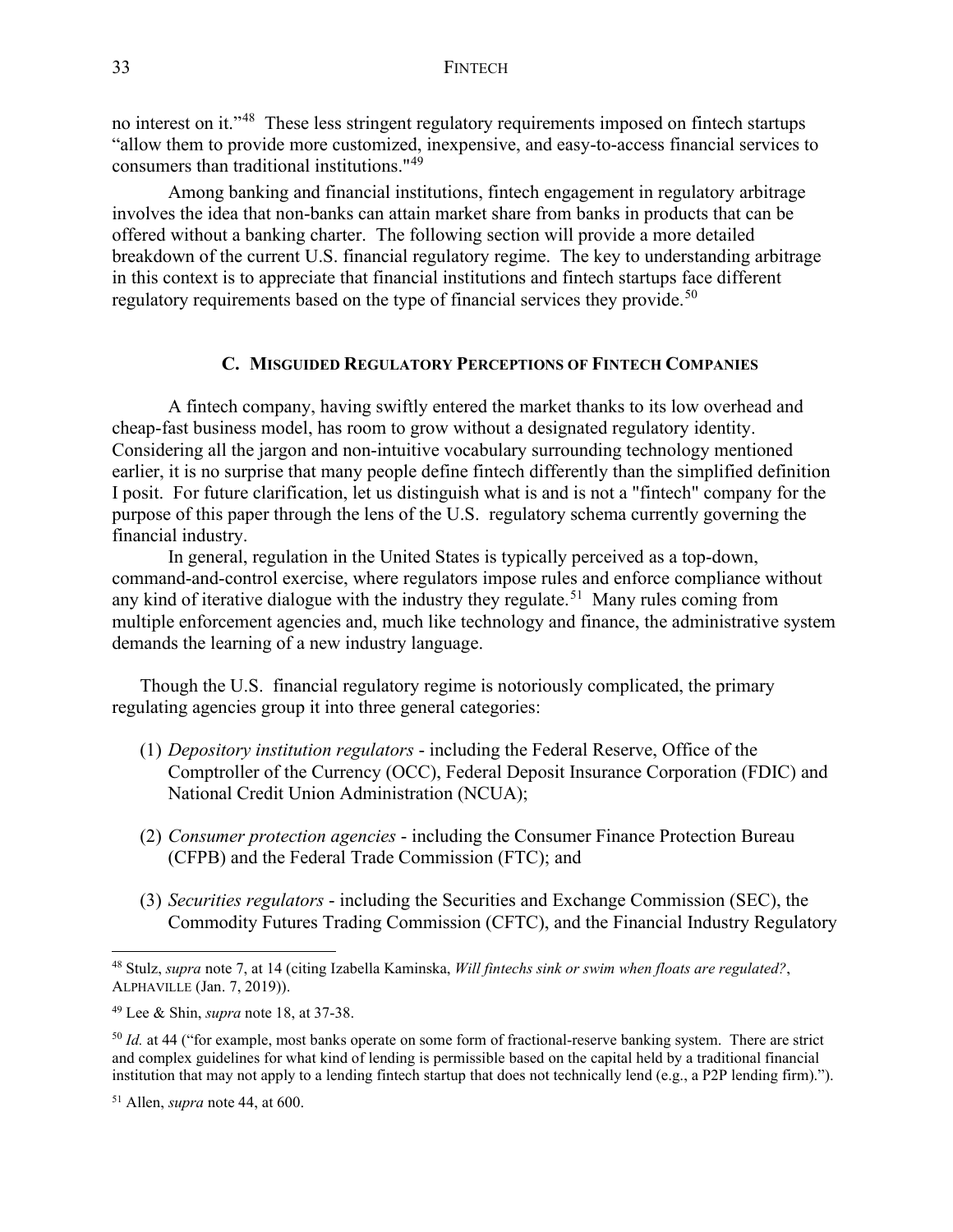no interest on it."<sup>[48](#page-10-1)</sup> These less stringent regulatory requirements imposed on fintech startups "allow them to provide more customized, inexpensive, and easy-to-access financial services to consumers than traditional institutions."[49](#page-10-2)

Among banking and financial institutions, fintech engagement in regulatory arbitrage involves the idea that non-banks can attain market share from banks in products that can be offered without a banking charter. The following section will provide a more detailed breakdown of the current U.S. financial regulatory regime. The key to understanding arbitrage in this context is to appreciate that financial institutions and fintech startups face different regulatory requirements based on the type of financial services they provide.<sup>[50](#page-10-3)</sup>

#### **C. MISGUIDED REGULATORY PERCEPTIONS OF FINTECH COMPANIES**

<span id="page-10-0"></span>A fintech company, having swiftly entered the market thanks to its low overhead and cheap-fast business model, has room to grow without a designated regulatory identity. Considering all the jargon and non-intuitive vocabulary surrounding technology mentioned earlier, it is no surprise that many people define fintech differently than the simplified definition I posit. For future clarification, let us distinguish what is and is not a "fintech" company for the purpose of this paper through the lens of the U.S. regulatory schema currently governing the financial industry.

In general, regulation in the United States is typically perceived as a top-down, command-and-control exercise, where regulators impose rules and enforce compliance without any kind of iterative dialogue with the industry they regulate.<sup>[51](#page-10-4)</sup> Many rules coming from multiple enforcement agencies and, much like technology and finance, the administrative system demands the learning of a new industry language.

Though the U.S. financial regulatory regime is notoriously complicated, the primary regulating agencies group it into three general categories:

- (1) *Depository institution regulators* including the Federal Reserve, Office of the Comptroller of the Currency (OCC), Federal Deposit Insurance Corporation (FDIC) and National Credit Union Administration (NCUA);
- (2) *Consumer protection agencies* including the Consumer Finance Protection Bureau (CFPB) and the Federal Trade Commission (FTC); and
- (3) *Securities regulators* including the Securities and Exchange Commission (SEC), the Commodity Futures Trading Commission (CFTC), and the Financial Industry Regulatory

<span id="page-10-1"></span><sup>48</sup> Stulz, *supra* note 7, at 14 (citing Izabella Kaminska, *Will fintechs sink or swim when floats are regulated?*, ALPHAVILLE (Jan. 7, 2019)).

<span id="page-10-2"></span><sup>49</sup> Lee & Shin, *supra* note 18, at 37-38.

<span id="page-10-3"></span><sup>&</sup>lt;sup>50</sup> *Id.* at 44 ("for example, most banks operate on some form of fractional-reserve banking system. There are strict and complex guidelines for what kind of lending is permissible based on the capital held by a traditional financial institution that may not apply to a lending fintech startup that does not technically lend (e.g., a P2P lending firm).").

<span id="page-10-4"></span><sup>51</sup> Allen, *supra* note 44, at 600.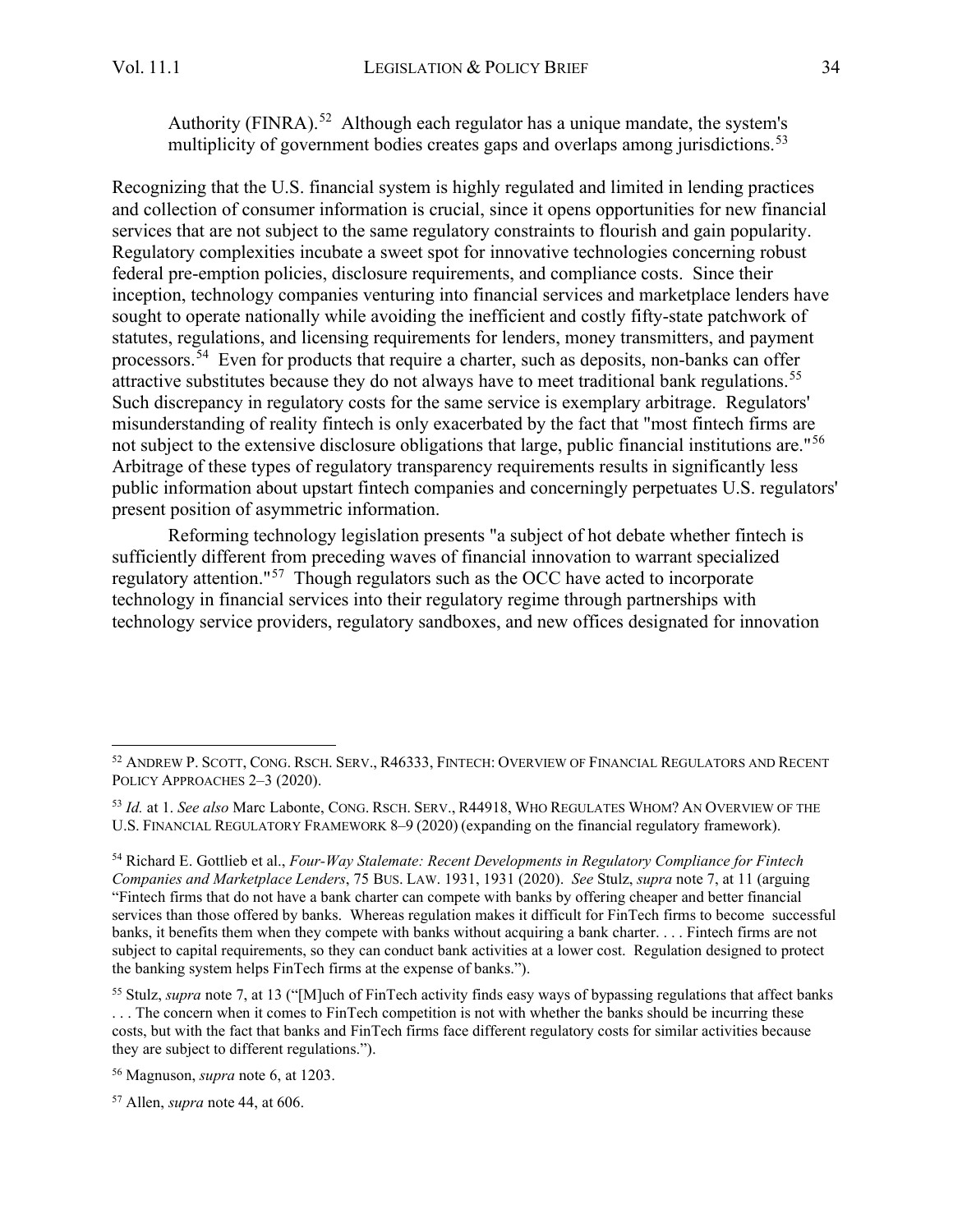Authority (FINRA).<sup>[52](#page-11-0)</sup> Although each regulator has a unique mandate, the system's multiplicity of government bodies creates gaps and overlaps among jurisdictions.<sup>[53](#page-11-1)</sup>

Recognizing that the U.S. financial system is highly regulated and limited in lending practices and collection of consumer information is crucial, since it opens opportunities for new financial services that are not subject to the same regulatory constraints to flourish and gain popularity. Regulatory complexities incubate a sweet spot for innovative technologies concerning robust federal pre-emption policies, disclosure requirements, and compliance costs. Since their inception, technology companies venturing into financial services and marketplace lenders have sought to operate nationally while avoiding the inefficient and costly fifty-state patchwork of statutes, regulations, and licensing requirements for lenders, money transmitters, and payment processors.<sup>[54](#page-11-2)</sup> Even for products that require a charter, such as deposits, non-banks can offer attractive substitutes because they do not always have to meet traditional bank regulations.<sup>[55](#page-11-3)</sup> Such discrepancy in regulatory costs for the same service is exemplary arbitrage. Regulators' misunderstanding of reality fintech is only exacerbated by the fact that "most fintech firms are not subject to the extensive disclosure obligations that large, public financial institutions are."<sup>[56](#page-11-4)</sup> Arbitrage of these types of regulatory transparency requirements results in significantly less public information about upstart fintech companies and concerningly perpetuates U.S. regulators' present position of asymmetric information.

Reforming technology legislation presents "a subject of hot debate whether fintech is sufficiently different from preceding waves of financial innovation to warrant specialized regulatory attention."[57](#page-11-5) Though regulators such as the OCC have acted to incorporate technology in financial services into their regulatory regime through partnerships with technology service providers, regulatory sandboxes, and new offices designated for innovation

<span id="page-11-0"></span><sup>52</sup> ANDREW P. SCOTT, CONG. RSCH. SERV., R46333, FINTECH: OVERVIEW OF FINANCIAL REGULATORS AND RECENT POLICY APPROACHES 2–3 (2020).

<span id="page-11-1"></span><sup>53</sup> *Id.* at 1. *See also* Marc Labonte, CONG. RSCH. SERV., R44918, WHO REGULATES WHOM? AN OVERVIEW OF THE U.S. FINANCIAL REGULATORY FRAMEWORK 8–9 (2020) (expanding on the financial regulatory framework).

<span id="page-11-2"></span><sup>54</sup> Richard E. Gottlieb et al., *Four-Way Stalemate: Recent Developments in Regulatory Compliance for Fintech Companies and Marketplace Lenders*, 75 BUS. LAW. 1931, 1931 (2020). *See* Stulz, *supra* note 7, at 11 (arguing "Fintech firms that do not have a bank charter can compete with banks by offering cheaper and better financial services than those offered by banks. Whereas regulation makes it difficult for FinTech firms to become successful banks, it benefits them when they compete with banks without acquiring a bank charter. . . . Fintech firms are not subject to capital requirements, so they can conduct bank activities at a lower cost. Regulation designed to protect the banking system helps FinTech firms at the expense of banks.").

<span id="page-11-3"></span><sup>55</sup> Stulz, *supra* note 7, at 13 ("[M]uch of FinTech activity finds easy ways of bypassing regulations that affect banks . . . The concern when it comes to FinTech competition is not with whether the banks should be incurring these costs, but with the fact that banks and FinTech firms face different regulatory costs for similar activities because they are subject to different regulations.").

<span id="page-11-4"></span><sup>56</sup> Magnuson, *supra* note 6, at 1203.

<span id="page-11-5"></span><sup>57</sup> Allen, *supra* note 44, at 606.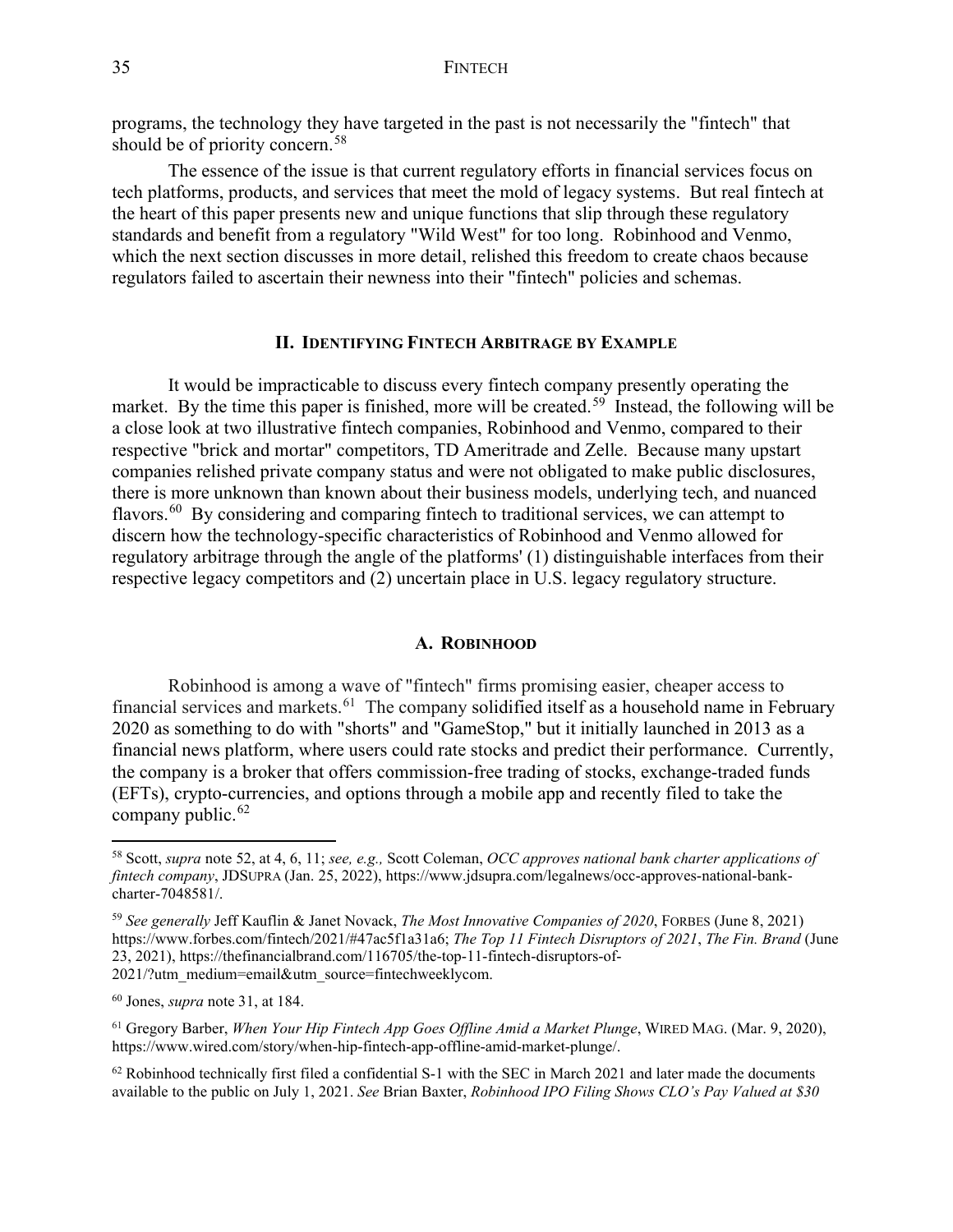programs, the technology they have targeted in the past is not necessarily the "fintech" that should be of priority concern.<sup>58</sup>

The essence of the issue is that current regulatory efforts in financial services focus on tech platforms, products, and services that meet the mold of legacy systems. But real fintech at the heart of this paper presents new and unique functions that slip through these regulatory standards and benefit from a regulatory "Wild West" for too long. Robinhood and Venmo, which the next section discusses in more detail, relished this freedom to create chaos because regulators failed to ascertain their newness into their "fintech" policies and schemas.

#### **II. IDENTIFYING FINTECH ARBITRAGE BY EXAMPLE**

<span id="page-12-0"></span>It would be impracticable to discuss every fintech company presently operating the market. By the time this paper is finished, more will be created.<sup>[59](#page-12-3)</sup> Instead, the following will be a close look at two illustrative fintech companies, Robinhood and Venmo, compared to their respective "brick and mortar" competitors, TD Ameritrade and Zelle. Because many upstart companies relished private company status and were not obligated to make public disclosures, there is more unknown than known about their business models, underlying tech, and nuanced flavors.<sup>[60](#page-12-4)</sup> By considering and comparing fintech to traditional services, we can attempt to discern how the technology-specific characteristics of Robinhood and Venmo allowed for regulatory arbitrage through the angle of the platforms' (1) distinguishable interfaces from their respective legacy competitors and (2) uncertain place in U.S. legacy regulatory structure.

#### **A. ROBINHOOD**

<span id="page-12-1"></span>Robinhood is among a wave of "fintech" firms promising easier, cheaper access to financial services and markets.<sup>61</sup> The company solidified itself as a household name in February 2020 as something to do with "shorts" and "GameStop," but it initially launched in 2013 as a financial news platform, where users could rate stocks and predict their performance. Currently, the company is a broker that offers commission-free trading of stocks, exchange-traded funds (EFTs), crypto-currencies, and options through a mobile app and recently filed to take the company public.<sup>62</sup>

<span id="page-12-2"></span><sup>58</sup> Scott, *supra* note 52, at 4, 6, 11; *see, e.g.,* Scott Coleman, *OCC approves national bank charter applications of fintech company*, JDSUPRA (Jan. 25, 2022), https://www.jdsupra.com/legalnews/occ-approves-national-bankcharter-7048581/.

<span id="page-12-3"></span><sup>59</sup> *See generally* Jeff Kauflin & Janet Novack, *The Most Innovative Companies of 2020*, FORBES (June 8, 2021) https://www.forbes.com/fintech/2021/#47ac5f1a31a6; *The Top 11 Fintech Disruptors of 2021*, *The Fin. Brand* (June 23, 2021), https://thefinancialbrand.com/116705/the-top-11-fintech-disruptors-of-2021/?utm\_medium=email&utm\_source=fintechweeklycom.

<span id="page-12-4"></span><sup>60</sup> Jones, *supra* note 31, at 184.

<span id="page-12-5"></span><sup>61</sup> Gregory Barber, *When Your Hip Fintech App Goes Offline Amid a Market Plunge*, WIRED MAG. (Mar. 9, 2020), https://www.wired.com/story/when-hip-fintech-app-offline-amid-market-plunge/.

<span id="page-12-6"></span> $62$  Robinhood technically first filed a confidential S-1 with the SEC in March 2021 and later made the documents available to the public on July 1, 2021. *See* Brian Baxter, *Robinhood IPO Filing Shows CLO's Pay Valued at \$30*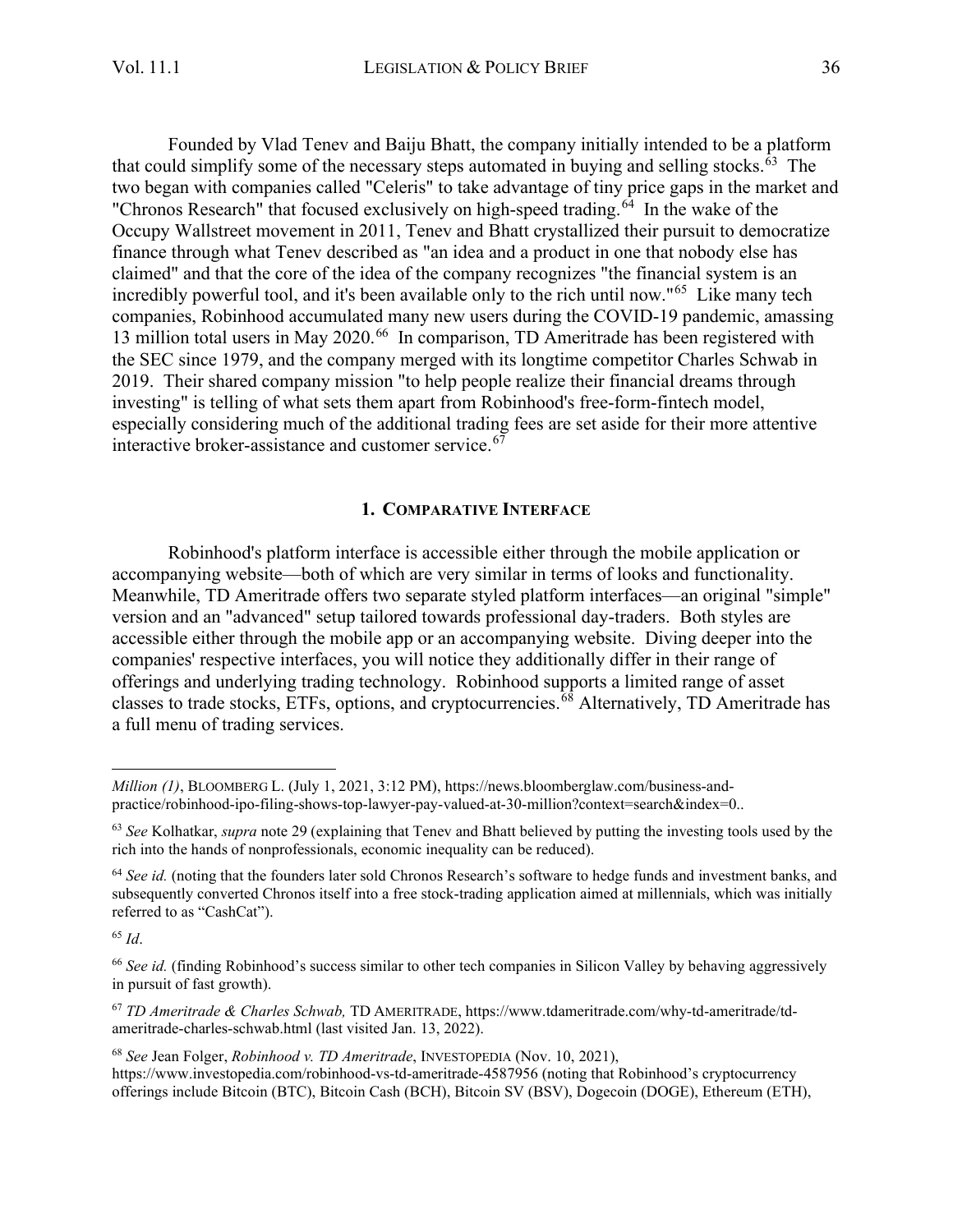Founded by Vlad Tenev and Baiju Bhatt, the company initially intended to be a platform that could simplify some of the necessary steps automated in buying and selling stocks. $63$  The two began with companies called "Celeris" to take advantage of tiny price gaps in the market and "Chronos Research" that focused exclusively on high-speed trading. $64$  In the wake of the Occupy Wallstreet movement in 2011, Tenev and Bhatt crystallized their pursuit to democratize finance through what Tenev described as "an idea and a product in one that nobody else has claimed" and that the core of the idea of the company recognizes "the financial system is an incredibly powerful tool, and it's been available only to the rich until now."<sup>[65](#page-13-3)</sup> Like many tech companies, Robinhood accumulated many new users during the COVID-19 pandemic, amassing 13 million total users in May 2020.<sup>[66](#page-13-4)</sup> In comparison, TD Ameritrade has been registered with the SEC since 1979, and the company merged with its longtime competitor Charles Schwab in 2019. Their shared company mission "to help people realize their financial dreams through investing" is telling of what sets them apart from Robinhood's free-form-fintech model, especially considering much of the additional trading fees are set aside for their more attentive interactive broker-assistance and customer service.<sup>[67](#page-13-5)</sup>

#### **1. COMPARATIVE INTERFACE**

<span id="page-13-0"></span>Robinhood's platform interface is accessible either through the mobile application or accompanying website—both of which are very similar in terms of looks and functionality. Meanwhile, TD Ameritrade offers two separate styled platform interfaces—an original "simple" version and an "advanced" setup tailored towards professional day-traders. Both styles are accessible either through the mobile app or an accompanying website. Diving deeper into the companies' respective interfaces, you will notice they additionally differ in their range of offerings and underlying trading technology. Robinhood supports a limited range of asset classes to trade stocks, ETFs, options, and cryptocurrencies.[68](#page-13-6) Alternatively, TD Ameritrade has a full menu of trading services.

<span id="page-13-3"></span><sup>65</sup> *Id*.

<span id="page-13-5"></span><sup>67</sup> *TD Ameritrade & Charles Schwab,* TD AMERITRADE, https://www.tdameritrade.com/why-td-ameritrade/tdameritrade-charles-schwab.html (last visited Jan. 13, 2022).

*Million (1)*, BLOOMBERG L. (July 1, 2021, 3:12 PM), https://news.bloomberglaw.com/business-andpractice/robinhood-ipo-filing-shows-top-lawyer-pay-valued-at-30-million?context=search&index=0..

<span id="page-13-1"></span><sup>63</sup> *See* Kolhatkar, *supra* note 29 (explaining that Tenev and Bhatt believed by putting the investing tools used by the rich into the hands of nonprofessionals, economic inequality can be reduced).

<span id="page-13-2"></span><sup>64</sup> *See id.* (noting that the founders later sold Chronos Research's software to hedge funds and investment banks, and subsequently converted Chronos itself into a free stock-trading application aimed at millennials, which was initially referred to as "CashCat").

<span id="page-13-4"></span><sup>&</sup>lt;sup>66</sup> See id. (finding Robinhood's success similar to other tech companies in Silicon Valley by behaving aggressively in pursuit of fast growth).

<span id="page-13-6"></span><sup>68</sup> *See* Jean Folger, *Robinhood v. TD Ameritrade*, INVESTOPEDIA (Nov. 10, 2021), https://www.investopedia.com/robinhood-vs-td-ameritrade-4587956 (noting that Robinhood's cryptocurrency offerings include Bitcoin (BTC), Bitcoin Cash (BCH), Bitcoin SV (BSV), Dogecoin (DOGE), Ethereum (ETH),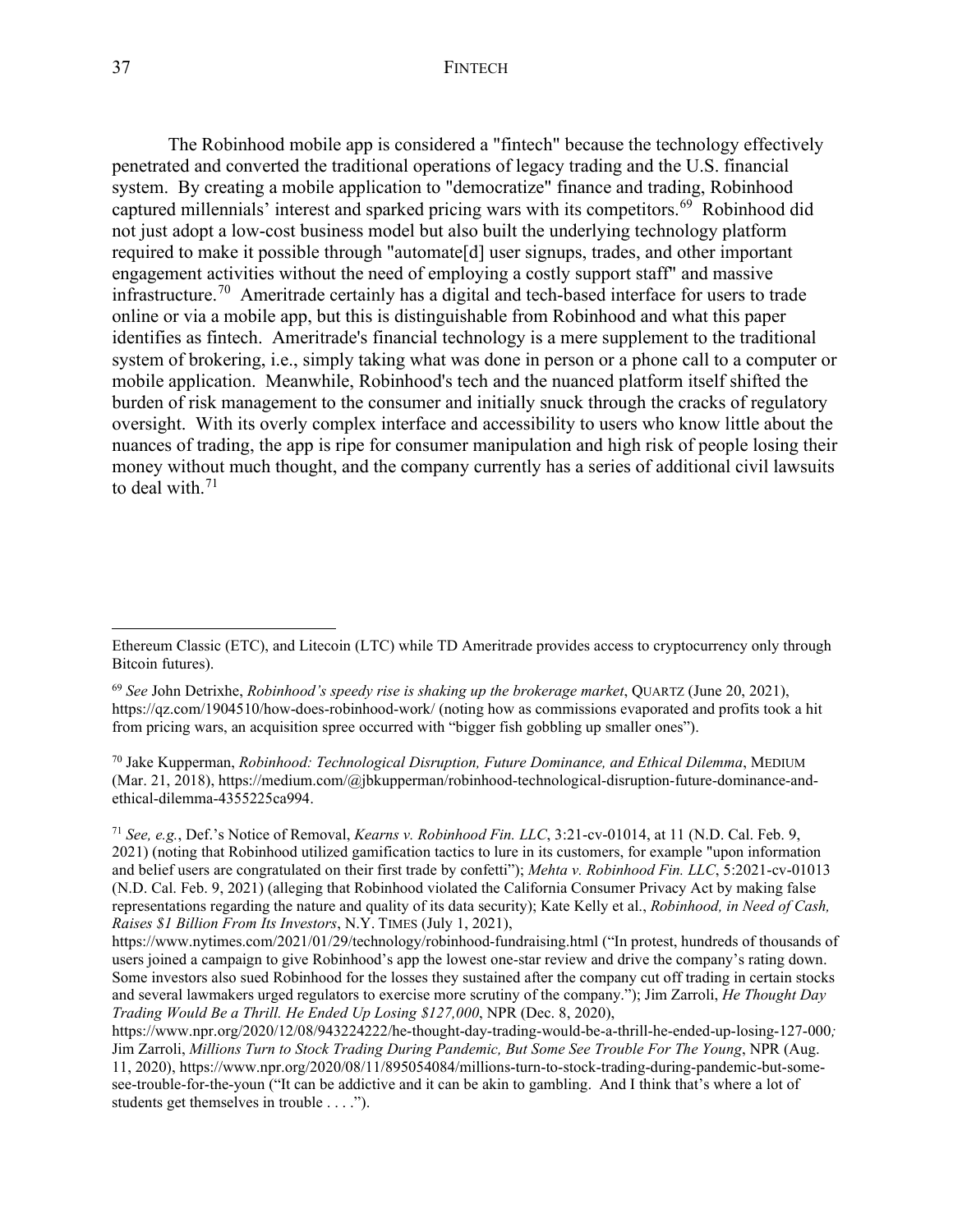#### 37 FINTECH

The Robinhood mobile app is considered a "fintech" because the technology effectively penetrated and converted the traditional operations of legacy trading and the U.S. financial system. By creating a mobile application to "democratize" finance and trading, Robinhood captured millennials' interest and sparked pricing wars with its competitors.<sup>[69](#page-14-0)</sup> Robinhood did not just adopt a low-cost business model but also built the underlying technology platform required to make it possible through "automate[d] user signups, trades, and other important engagement activities without the need of employing a costly support staff" and massive infrastructure.<sup>[70](#page-14-1)</sup> Ameritrade certainly has a digital and tech-based interface for users to trade online or via a mobile app, but this is distinguishable from Robinhood and what this paper identifies as fintech. Ameritrade's financial technology is a mere supplement to the traditional system of brokering, i.e., simply taking what was done in person or a phone call to a computer or mobile application. Meanwhile, Robinhood's tech and the nuanced platform itself shifted the burden of risk management to the consumer and initially snuck through the cracks of regulatory oversight. With its overly complex interface and accessibility to users who know little about the nuances of trading, the app is ripe for consumer manipulation and high risk of people losing their money without much thought, and the company currently has a series of additional civil lawsuits to deal with.<sup>[71](#page-14-2)</sup>

Ethereum Classic (ETC), and Litecoin (LTC) while TD Ameritrade provides access to cryptocurrency only through Bitcoin futures).

<span id="page-14-0"></span><sup>69</sup> *See* John Detrixhe, *Robinhood's speedy rise is shaking up the brokerage market*, QUARTZ (June 20, 2021), https://qz.com/1904510/how-does-robinhood-work/ (noting how as commissions evaporated and profits took a hit from pricing wars, an acquisition spree occurred with "bigger fish gobbling up smaller ones").

<span id="page-14-1"></span><sup>70</sup> Jake Kupperman, *Robinhood: Technological Disruption, Future Dominance, and Ethical Dilemma*, MEDIUM (Mar. 21, 2018), https://medium.com/@jbkupperman/robinhood-technological-disruption-future-dominance-andethical-dilemma-4355225ca994.

<span id="page-14-2"></span><sup>71</sup> *See, e.g.*, Def.'s Notice of Removal, *Kearns v. Robinhood Fin. LLC*, 3:21-cv-01014, at 11 (N.D. Cal. Feb. 9, 2021) (noting that Robinhood utilized gamification tactics to lure in its customers, for example "upon information and belief users are congratulated on their first trade by confetti"); *Mehta v. Robinhood Fin. LLC*, 5:2021-cv-01013 (N.D. Cal. Feb. 9, 2021) (alleging that Robinhood violated the California Consumer Privacy Act by making false representations regarding the nature and quality of its data security); Kate Kelly et al., *Robinhood, in Need of Cash, Raises \$1 Billion From Its Investors*, N.Y. TIMES (July 1, 2021),

https://www.nytimes.com/2021/01/29/technology/robinhood-fundraising.html ("In protest, hundreds of thousands of users joined a campaign to give Robinhood's app the lowest one-star review and drive the company's rating down. Some investors also sued Robinhood for the losses they sustained after the company cut off trading in certain stocks and several lawmakers urged regulators to exercise more scrutiny of the company."); Jim Zarroli, *He Thought Day Trading Would Be a Thrill. He Ended Up Losing \$127,000*, NPR (Dec. 8, 2020),

https://www.npr.org/2020/12/08/943224222/he-thought-day-trading-would-be-a-thrill-he-ended-up-losing-127-000*;*  Jim Zarroli, *Millions Turn to Stock Trading During Pandemic, But Some See Trouble For The Young*, NPR (Aug. 11, 2020), https://www.npr.org/2020/08/11/895054084/millions-turn-to-stock-trading-during-pandemic-but-somesee-trouble-for-the-youn ("It can be addictive and it can be akin to gambling. And I think that's where a lot of students get themselves in trouble . . . .").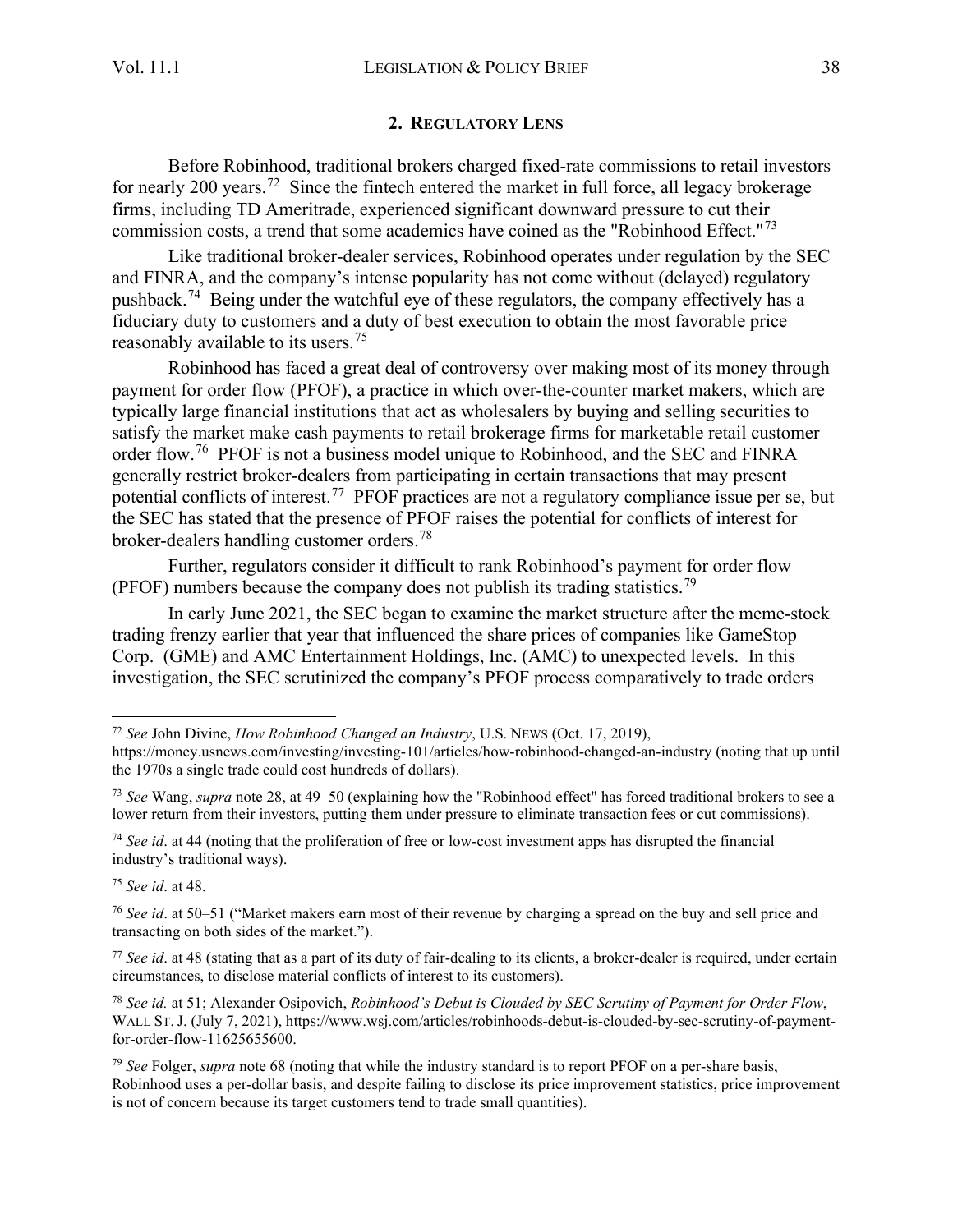#### **2. REGULATORY LENS**

<span id="page-15-0"></span>Before Robinhood, traditional brokers charged fixed-rate commissions to retail investors for nearly 200 years.<sup>[72](#page-15-1)</sup> Since the fintech entered the market in full force, all legacy brokerage firms, including TD Ameritrade, experienced significant downward pressure to cut their commission costs, a trend that some academics have coined as the "Robinhood Effect."[73](#page-15-2) 

Like traditional broker-dealer services, Robinhood operates under regulation by the SEC and FINRA, and the company's intense popularity has not come without (delayed) regulatory pushback.<sup>[74](#page-15-3)</sup> Being under the watchful eye of these regulators, the company effectively has a fiduciary duty to customers and a duty of best execution to obtain the most favorable price reasonably available to its users.<sup>[75](#page-15-4)</sup>

Robinhood has faced a great deal of controversy over making most of its money through payment for order flow (PFOF), a practice in which over-the-counter market makers, which are typically large financial institutions that act as wholesalers by buying and selling securities to satisfy the market make cash payments to retail brokerage firms for marketable retail customer order flow.<sup>[76](#page-15-5)</sup> PFOF is not a business model unique to Robinhood, and the SEC and FINRA generally restrict broker-dealers from participating in certain transactions that may present potential conflicts of interest.<sup>[77](#page-15-6)</sup> PFOF practices are not a regulatory compliance issue per se, but the SEC has stated that the presence of PFOF raises the potential for conflicts of interest for broker-dealers handling customer orders.[78](#page-15-7) 

Further, regulators consider it difficult to rank Robinhood's payment for order flow (PFOF) numbers because the company does not publish its trading statistics.<sup>79</sup>

In early June 2021, the SEC began to examine the market structure after the meme-stock trading frenzy earlier that year that influenced the share prices of companies like GameStop Corp. (GME) and AMC Entertainment Holdings, Inc. (AMC) to unexpected levels. In this investigation, the SEC scrutinized the company's PFOF process comparatively to trade orders

<span id="page-15-4"></span><sup>75</sup> *See id*. at 48.

<span id="page-15-1"></span><sup>72</sup> *See* John Divine, *How Robinhood Changed an Industry*, U.S. NEWS (Oct. 17, 2019),

https://money.usnews.com/investing/investing-101/articles/how-robinhood-changed-an-industry (noting that up until the 1970s a single trade could cost hundreds of dollars).

<span id="page-15-2"></span><sup>73</sup> *See* Wang, *supra* note 28, at 49–50 (explaining how the "Robinhood effect" has forced traditional brokers to see a lower return from their investors, putting them under pressure to eliminate transaction fees or cut commissions).

<span id="page-15-3"></span><sup>74</sup> *See id*. at 44 (noting that the proliferation of free or low-cost investment apps has disrupted the financial industry's traditional ways).

<span id="page-15-5"></span><sup>76</sup> *See id*. at 50–51 ("Market makers earn most of their revenue by charging a spread on the buy and sell price and transacting on both sides of the market.").

<span id="page-15-6"></span><sup>77</sup> *See id*. at 48 (stating that as a part of its duty of fair-dealing to its clients, a broker-dealer is required, under certain circumstances, to disclose material conflicts of interest to its customers).

<span id="page-15-7"></span><sup>78</sup> *See id.* at 51; Alexander Osipovich, *Robinhood's Debut is Clouded by SEC Scrutiny of Payment for Order Flow*, WALL ST. J. (July 7, 2021), https://www.wsj.com/articles/robinhoods-debut-is-clouded-by-sec-scrutiny-of-paymentfor-order-flow-11625655600.

<span id="page-15-8"></span><sup>79</sup> *See* Folger, *supra* note 68 (noting that while the industry standard is to report PFOF on a per-share basis, Robinhood uses a per-dollar basis, and despite failing to disclose its price improvement statistics, price improvement is not of concern because its target customers tend to trade small quantities).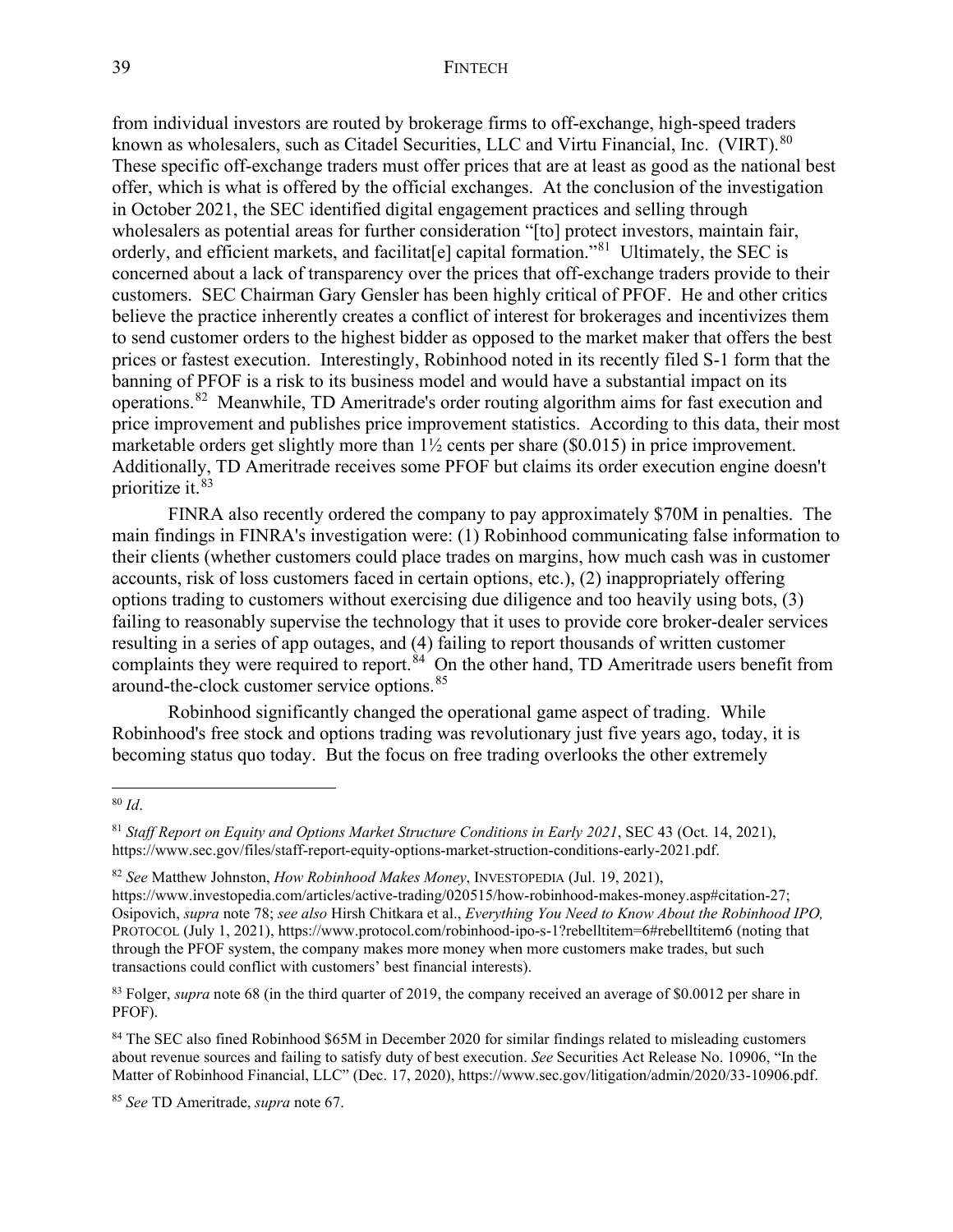from individual investors are routed by brokerage firms to off-exchange, high-speed traders known as wholesalers, such as Citadel Securities, LLC and Virtu Financial, Inc. (VIRT).<sup>[80](#page-16-0)</sup> These specific off-exchange traders must offer prices that are at least as good as the national best offer, which is what is offered by the official exchanges. At the conclusion of the investigation in October 2021, the SEC identified digital engagement practices and selling through wholesalers as potential areas for further consideration "[to] protect investors, maintain fair, orderly, and efficient markets, and facilitat [e] capital formation."<sup>81</sup> Ultimately, the SEC is concerned about a lack of transparency over the prices that off-exchange traders provide to their customers. SEC Chairman Gary Gensler has been highly critical of PFOF. He and other critics believe the practice inherently creates a conflict of interest for brokerages and incentivizes them to send customer orders to the highest bidder as opposed to the market maker that offers the best prices or fastest execution. Interestingly, Robinhood noted in its recently filed S-1 form that the banning of PFOF is a risk to its business model and would have a substantial impact on its operations.[82](#page-16-2) Meanwhile, TD Ameritrade's order routing algorithm aims for fast execution and price improvement and publishes price improvement statistics. According to this data, their most marketable orders get slightly more than 1½ cents per share (\$0.015) in price improvement. Additionally, TD Ameritrade receives some PFOF but claims its order execution engine doesn't prioritize it. [83](#page-16-3)

FINRA also recently ordered the company to pay approximately \$70M in penalties. The main findings in FINRA's investigation were: (1) Robinhood communicating false information to their clients (whether customers could place trades on margins, how much cash was in customer accounts, risk of loss customers faced in certain options, etc.), (2) inappropriately offering options trading to customers without exercising due diligence and too heavily using bots, (3) failing to reasonably supervise the technology that it uses to provide core broker-dealer services resulting in a series of app outages, and (4) failing to report thousands of written customer complaints they were required to report.<sup>[84](#page-16-4)</sup> On the other hand, TD Ameritrade users benefit from around-the-clock customer service options.[85](#page-16-5)

Robinhood significantly changed the operational game aspect of trading. While Robinhood's free stock and options trading was revolutionary just five years ago, today, it is becoming status quo today. But the focus on free trading overlooks the other extremely

<span id="page-16-0"></span><sup>80</sup> *Id*.

<span id="page-16-1"></span><sup>81</sup> *Staff Report on Equity and Options Market Structure Conditions in Early 2021*, SEC 43 (Oct. 14, 2021), https://www.sec.gov/files/staff-report-equity-options-market-struction-conditions-early-2021.pdf.

<span id="page-16-2"></span><sup>82</sup> *See* Matthew Johnston, *How Robinhood Makes Money*, INVESTOPEDIA (Jul. 19, 2021),

https://www.investopedia.com/articles/active-trading/020515/how-robinhood-makes-money.asp#citation-27; Osipovich, *supra* note 78; *see also* Hirsh Chitkara et al., *Everything You Need to Know About the Robinhood IPO,*  PROTOCOL (July 1, 2021), https://www.protocol.com/robinhood-ipo-s-1?rebelltitem=6#rebelltitem6 (noting that through the PFOF system, the company makes more money when more customers make trades, but such transactions could conflict with customers' best financial interests).

<span id="page-16-3"></span><sup>&</sup>lt;sup>83</sup> Folger, *supra* note 68 (in the third quarter of 2019, the company received an average of \$0.0012 per share in PFOF).

<span id="page-16-4"></span><sup>&</sup>lt;sup>84</sup> The SEC also fined Robinhood \$65M in December 2020 for similar findings related to misleading customers about revenue sources and failing to satisfy duty of best execution. *See* Securities Act Release No. 10906, "In the Matter of Robinhood Financial, LLC" (Dec. 17, 2020), https://www.sec.gov/litigation/admin/2020/33-10906.pdf.

<span id="page-16-5"></span><sup>85</sup> *See* TD Ameritrade, *supra* note 67.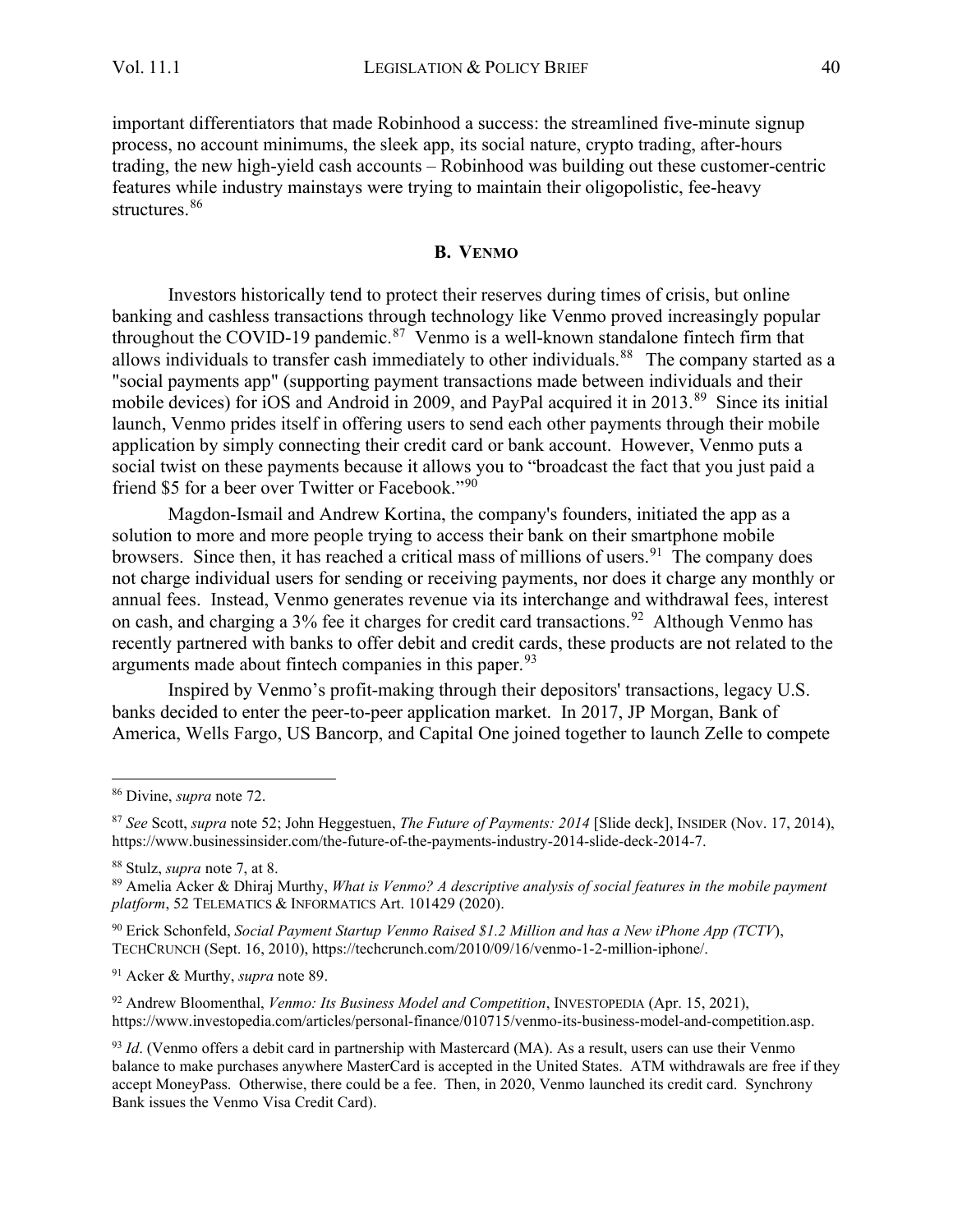important differentiators that made Robinhood a success: the streamlined five-minute signup process, no account minimums, the sleek app, its social nature, crypto trading, after-hours trading, the new high-yield cash accounts – Robinhood was building out these customer-centric features while industry mainstays were trying to maintain their oligopolistic, fee-heavy structures.<sup>[86](#page-17-1)</sup>

#### **B. VENMO**

<span id="page-17-0"></span>Investors historically tend to protect their reserves during times of crisis, but online banking and cashless transactions through technology like Venmo proved increasingly popular throughout the COVID-19 pandemic.<sup>[87](#page-17-2)</sup> Venmo is a well-known standalone fintech firm that allows individuals to transfer cash immediately to other individuals.<sup>[88](#page-17-3)</sup> The company started as a "social payments app" (supporting payment transactions made between individuals and their mobile devices) for iOS and Android in 2009, and PayPal acquired it in 2013.<sup>[89](#page-17-4)</sup> Since its initial launch, Venmo prides itself in offering users to send each other payments through their mobile application by simply connecting their credit card or bank account. However, Venmo puts a social twist on these payments because it allows you to "broadcast the fact that you just paid a friend \$5 for a beer over Twitter or Facebook."<sup>90</sup>

Magdon-Ismail and Andrew Kortina, the company's founders, initiated the app as a solution to more and more people trying to access their bank on their smartphone mobile browsers. Since then, it has reached a critical mass of millions of users.<sup>[91](#page-17-6)</sup> The company does not charge individual users for sending or receiving payments, nor does it charge any monthly or annual fees. Instead, Venmo generates revenue via its interchange and withdrawal fees, interest on cash, and charging a 3% fee it charges for credit card transactions.<sup>[92](#page-17-7)</sup> Although Venmo has recently partnered with banks to offer debit and credit cards, these products are not related to the arguments made about fintech companies in this paper.<sup>[93](#page-17-8)</sup>

Inspired by Venmo's profit-making through their depositors' transactions, legacy U.S. banks decided to enter the peer-to-peer application market. In 2017, JP Morgan, Bank of America, Wells Fargo, US Bancorp, and Capital One joined together to launch Zelle to compete

<span id="page-17-7"></span><sup>92</sup> Andrew Bloomenthal, *Venmo: Its Business Model and Competition*, INVESTOPEDIA (Apr. 15, 2021), https://www.investopedia.com/articles/personal-finance/010715/venmo-its-business-model-and-competition.asp.

<span id="page-17-1"></span><sup>86</sup> Divine, *supra* note 72.

<span id="page-17-2"></span><sup>87</sup> *See* Scott, *supra* note 52; John Heggestuen, *The Future of Payments: 2014* [Slide deck], INSIDER (Nov. 17, 2014), https://www.businessinsider.com/the-future-of-the-payments-industry-2014-slide-deck-2014-7.

<span id="page-17-4"></span><span id="page-17-3"></span><sup>&</sup>lt;sup>88</sup> Stulz, *supra* note 7, at 8.<br><sup>89</sup> Amelia Acker & Dhiraj Murthy, *What is Venmo? A descriptive analysis of social features in the mobile payment platform*, 52 TELEMATICS & INFORMATICS Art. 101429 (2020).

<span id="page-17-5"></span><sup>90</sup> Erick Schonfeld, *Social Payment Startup Venmo Raised \$1.2 Million and has a New iPhone App (TCTV*), TECHCRUNCH (Sept. 16, 2010), https://techcrunch.com/2010/09/16/venmo-1-2-million-iphone/.

<span id="page-17-6"></span><sup>91</sup> Acker & Murthy, *supra* note 89.

<span id="page-17-8"></span><sup>93</sup> *Id*. (Venmo offers a debit card in partnership with Mastercard (MA). As a result, users can use their Venmo balance to make purchases anywhere MasterCard is accepted in the United States. ATM withdrawals are free if they accept MoneyPass. Otherwise, there could be a fee. Then, in 2020, Venmo launched its credit card. Synchrony Bank issues the Venmo Visa Credit Card).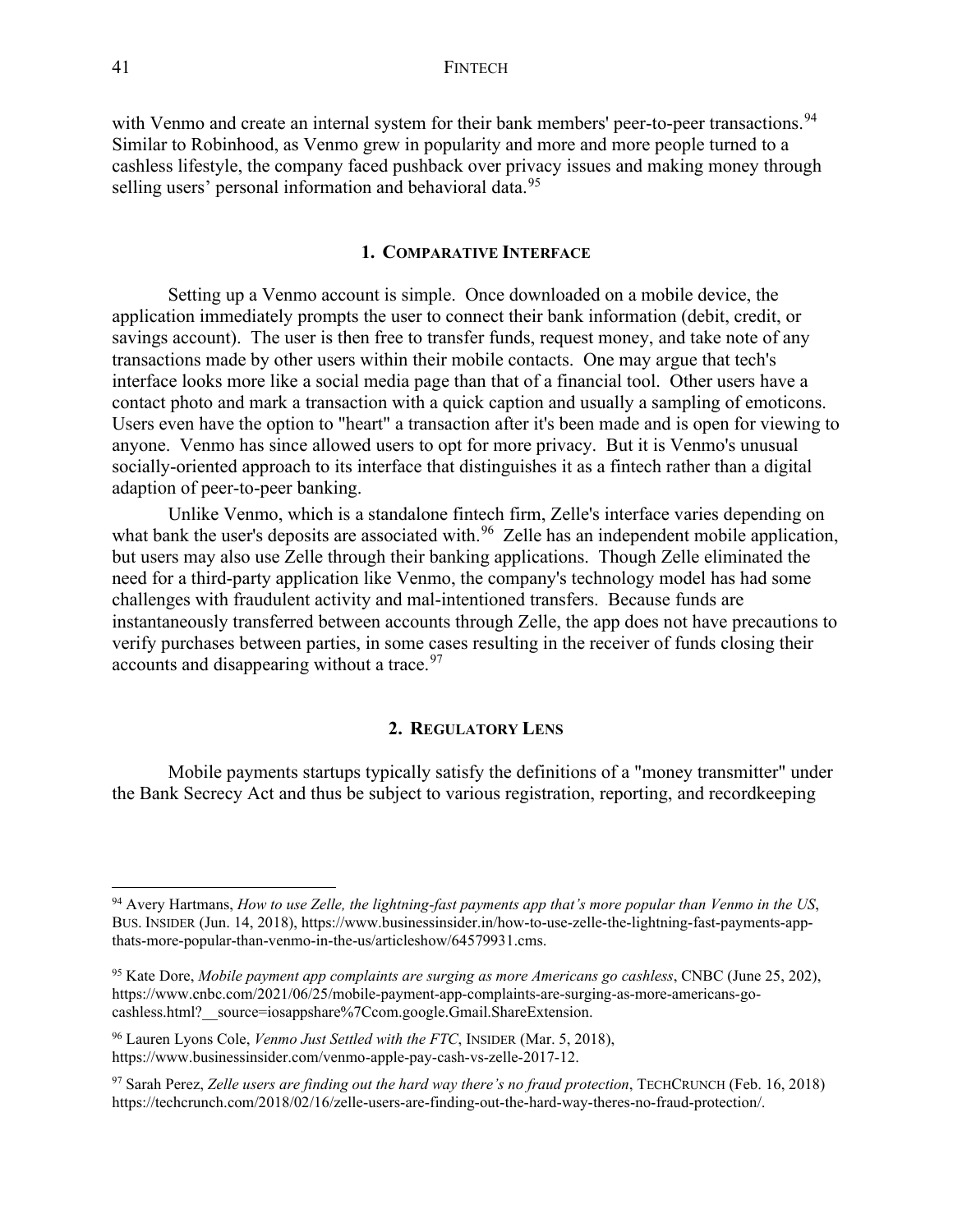with Venmo and create an internal system for their bank members' peer-to-peer transactions.<sup>[94](#page-18-2)</sup> Similar to Robinhood, as Venmo grew in popularity and more and more people turned to a cashless lifestyle, the company faced pushback over privacy issues and making money through selling users' personal information and behavioral data.<sup>95</sup>

#### **1. COMPARATIVE INTERFACE**

<span id="page-18-0"></span>Setting up a Venmo account is simple. Once downloaded on a mobile device, the application immediately prompts the user to connect their bank information (debit, credit, or savings account). The user is then free to transfer funds, request money, and take note of any transactions made by other users within their mobile contacts. One may argue that tech's interface looks more like a social media page than that of a financial tool. Other users have a contact photo and mark a transaction with a quick caption and usually a sampling of emoticons. Users even have the option to "heart" a transaction after it's been made and is open for viewing to anyone. Venmo has since allowed users to opt for more privacy. But it is Venmo's unusual socially-oriented approach to its interface that distinguishes it as a fintech rather than a digital adaption of peer-to-peer banking.

Unlike Venmo, which is a standalone fintech firm, Zelle's interface varies depending on what bank the user's deposits are associated with.<sup>[96](#page-18-4)</sup> Zelle has an independent mobile application, but users may also use Zelle through their banking applications. Though Zelle eliminated the need for a third-party application like Venmo, the company's technology model has had some challenges with fraudulent activity and mal-intentioned transfers. Because funds are instantaneously transferred between accounts through Zelle, the app does not have precautions to verify purchases between parties, in some cases resulting in the receiver of funds closing their accounts and disappearing without a trace.  $97$ 

#### **2. REGULATORY LENS**

<span id="page-18-1"></span>Mobile payments startups typically satisfy the definitions of a "money transmitter" under the Bank Secrecy Act and thus be subject to various registration, reporting, and recordkeeping

<span id="page-18-2"></span><sup>94</sup> Avery Hartmans, *How to use Zelle, the lightning-fast payments app that's more popular than Venmo in the US*, BUS. INSIDER (Jun. 14, 2018), https://www.businessinsider.in/how-to-use-zelle-the-lightning-fast-payments-appthats-more-popular-than-venmo-in-the-us/articleshow/64579931.cms.

<span id="page-18-3"></span><sup>95</sup> Kate Dore, *Mobile payment app complaints are surging as more Americans go cashless*, CNBC (June 25, 202), https://www.cnbc.com/2021/06/25/mobile-payment-app-complaints-are-surging-as-more-americans-gocashless.html? source=iosappshare%7Ccom.google.Gmail.ShareExtension.

<span id="page-18-4"></span><sup>96</sup> Lauren Lyons Cole, *Venmo Just Settled with the FTC*, INSIDER (Mar. 5, 2018), https://www.businessinsider.com/venmo-apple-pay-cash-vs-zelle-2017-12.

<span id="page-18-5"></span><sup>97</sup> Sarah Perez, *Zelle users are finding out the hard way there's no fraud protection*, TECHCRUNCH (Feb. 16, 2018) https://techcrunch.com/2018/02/16/zelle-users-are-finding-out-the-hard-way-theres-no-fraud-protection/.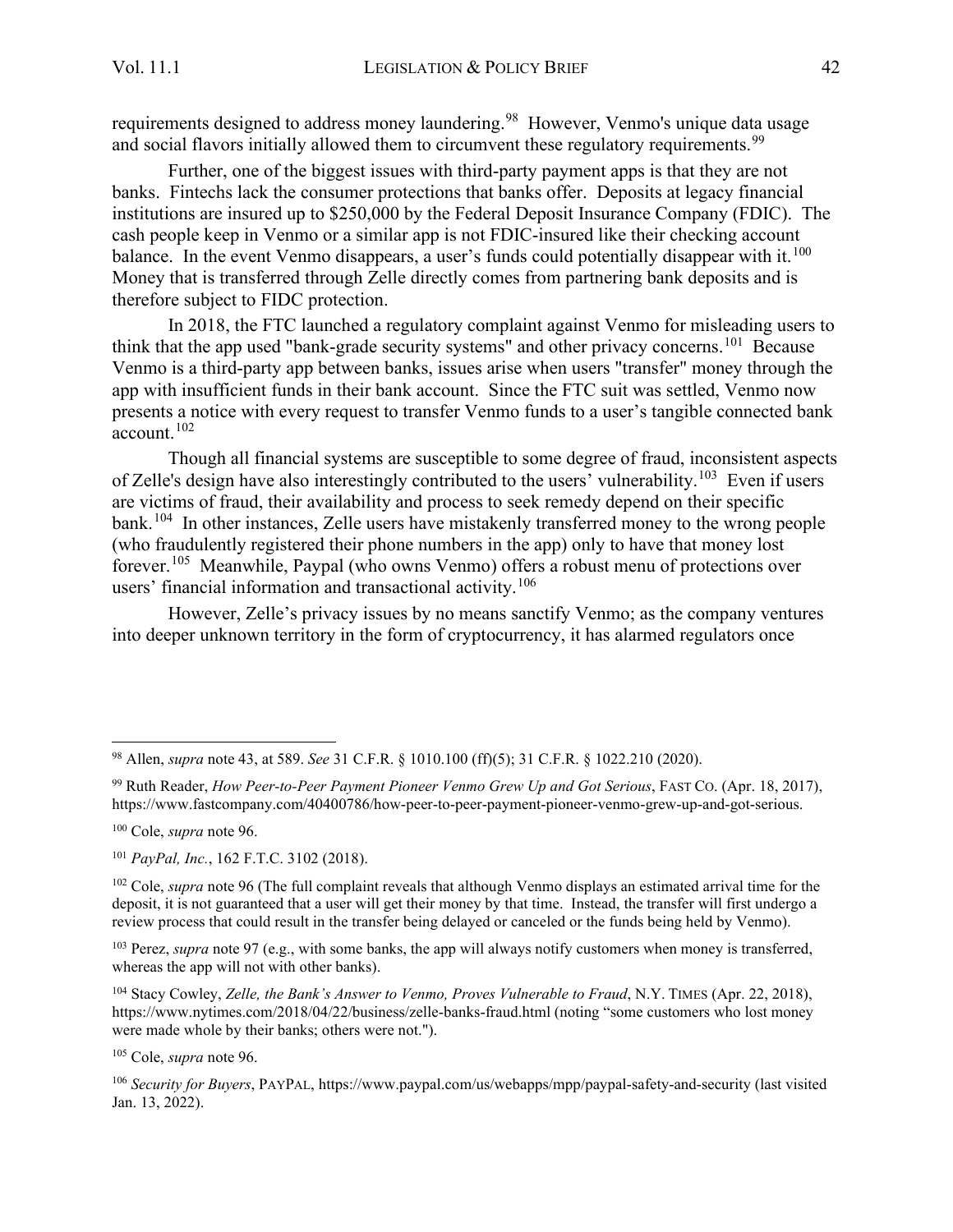requirements designed to address money laundering.<sup>[98](#page-19-0)</sup> However, Venmo's unique data usage and social flavors initially allowed them to circumvent these regulatory requirements.<sup>99</sup>

Further, one of the biggest issues with third-party payment apps is that they are not banks. Fintechs lack the consumer protections that banks offer. Deposits at legacy financial institutions are insured up to \$250,000 by the Federal Deposit Insurance Company (FDIC). The cash people keep in Venmo or a similar app is not FDIC-insured like their checking account balance. In the event Venmo disappears, a user's funds could potentially disappear with it.<sup>[100](#page-19-2)</sup> Money that is transferred through Zelle directly comes from partnering bank deposits and is therefore subject to FIDC protection.

In 2018, the FTC launched a regulatory complaint against Venmo for misleading users to think that the app used "bank-grade security systems" and other privacy concerns.[101](#page-19-3) Because Venmo is a third-party app between banks, issues arise when users "transfer" money through the app with insufficient funds in their bank account. Since the FTC suit was settled, Venmo now presents a notice with every request to transfer Venmo funds to a user's tangible connected bank  $\arccos 102$  $\arccos 102$ 

Though all financial systems are susceptible to some degree of fraud, inconsistent aspects of Zelle's design have also interestingly contributed to the users' vulnerability.<sup>[103](#page-19-5)</sup> Even if users are victims of fraud, their availability and process to seek remedy depend on their specific bank.<sup>[104](#page-19-6)</sup> In other instances, Zelle users have mistakenly transferred money to the wrong people (who fraudulently registered their phone numbers in the app) only to have that money lost forever.[105](#page-19-7) Meanwhile, Paypal (who owns Venmo) offers a robust menu of protections over users' financial information and transactional activity.<sup>[106](#page-19-8)</sup>

However, Zelle's privacy issues by no means sanctify Venmo; as the company ventures into deeper unknown territory in the form of cryptocurrency, it has alarmed regulators once

<span id="page-19-5"></span><sup>103</sup> Perez, *supra* note 97 (e.g., with some banks, the app will always notify customers when money is transferred, whereas the app will not with other banks).

<span id="page-19-6"></span><sup>104</sup> Stacy Cowley, *Zelle, the Bank's Answer to Venmo, Proves Vulnerable to Fraud*, N.Y. TIMES (Apr. 22, 2018), https://www.nytimes.com/2018/04/22/business/zelle-banks-fraud.html (noting "some customers who lost money were made whole by their banks; others were not.").

<span id="page-19-7"></span><sup>105</sup> Cole, *supra* note 96.

<span id="page-19-0"></span><sup>98</sup> Allen, *supra* note 43, at 589. *See* 31 C.F.R. § 1010.100 (ff)(5); 31 C.F.R. § 1022.210 (2020).

<span id="page-19-1"></span><sup>99</sup> Ruth Reader, *How Peer-to-Peer Payment Pioneer Venmo Grew Up and Got Serious*, FAST CO. (Apr. 18, 2017), https://www.fastcompany.com/40400786/how-peer-to-peer-payment-pioneer-venmo-grew-up-and-got-serious.

<span id="page-19-2"></span><sup>100</sup> Cole, *supra* note 96.

<span id="page-19-3"></span><sup>101</sup> *PayPal, Inc.*, 162 F.T.C. 3102 (2018).

<span id="page-19-4"></span><sup>&</sup>lt;sup>102</sup> Cole, *supra* note 96 (The full complaint reveals that although Venmo displays an estimated arrival time for the deposit, it is not guaranteed that a user will get their money by that time. Instead, the transfer will first undergo a review process that could result in the transfer being delayed or canceled or the funds being held by Venmo).

<span id="page-19-8"></span><sup>106</sup> *Security for Buyers*, PAYPAL, https://www.paypal.com/us/webapps/mpp/paypal-safety-and-security (last visited Jan. 13, 2022).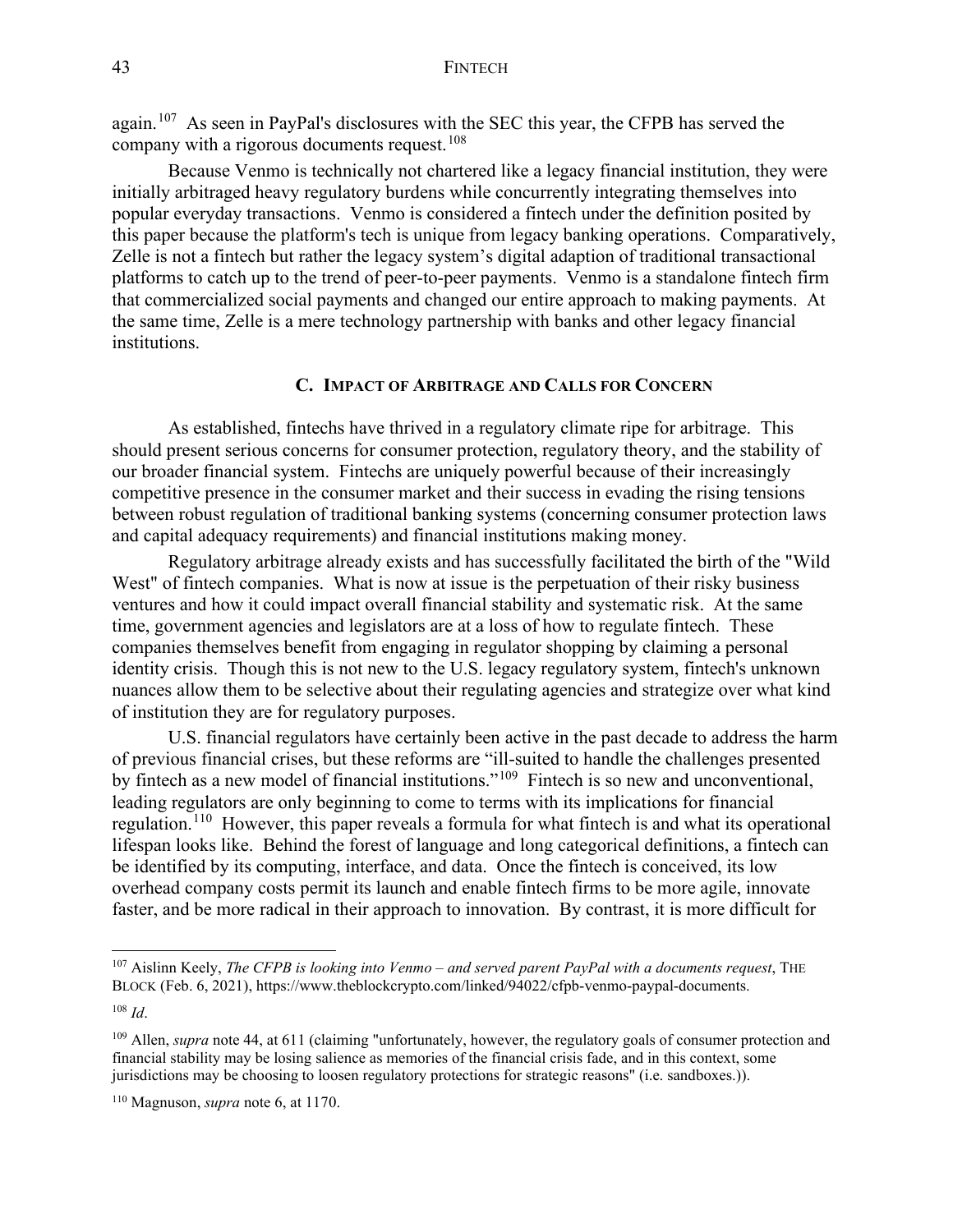again.<sup>[107](#page-20-1)</sup> As seen in PayPal's disclosures with the SEC this year, the CFPB has served the company with a rigorous documents request.<sup>[108](#page-20-2)</sup>

Because Venmo is technically not chartered like a legacy financial institution, they were initially arbitraged heavy regulatory burdens while concurrently integrating themselves into popular everyday transactions. Venmo is considered a fintech under the definition posited by this paper because the platform's tech is unique from legacy banking operations. Comparatively, Zelle is not a fintech but rather the legacy system's digital adaption of traditional transactional platforms to catch up to the trend of peer-to-peer payments. Venmo is a standalone fintech firm that commercialized social payments and changed our entire approach to making payments. At the same time, Zelle is a mere technology partnership with banks and other legacy financial institutions.

#### **C. IMPACT OF ARBITRAGE AND CALLS FOR CONCERN**

<span id="page-20-0"></span>As established, fintechs have thrived in a regulatory climate ripe for arbitrage. This should present serious concerns for consumer protection, regulatory theory, and the stability of our broader financial system. Fintechs are uniquely powerful because of their increasingly competitive presence in the consumer market and their success in evading the rising tensions between robust regulation of traditional banking systems (concerning consumer protection laws and capital adequacy requirements) and financial institutions making money.

Regulatory arbitrage already exists and has successfully facilitated the birth of the "Wild West" of fintech companies. What is now at issue is the perpetuation of their risky business ventures and how it could impact overall financial stability and systematic risk. At the same time, government agencies and legislators are at a loss of how to regulate fintech. These companies themselves benefit from engaging in regulator shopping by claiming a personal identity crisis. Though this is not new to the U.S. legacy regulatory system, fintech's unknown nuances allow them to be selective about their regulating agencies and strategize over what kind of institution they are for regulatory purposes.

U.S. financial regulators have certainly been active in the past decade to address the harm of previous financial crises, but these reforms are "ill-suited to handle the challenges presented by fintech as a new model of financial institutions."<sup>[109](#page-20-3)</sup> Fintech is so new and unconventional, leading regulators are only beginning to come to terms with its implications for financial regulation.<sup>[110](#page-20-4)</sup> However, this paper reveals a formula for what fintech is and what its operational lifespan looks like. Behind the forest of language and long categorical definitions, a fintech can be identified by its computing, interface, and data. Once the fintech is conceived, its low overhead company costs permit its launch and enable fintech firms to be more agile, innovate faster, and be more radical in their approach to innovation. By contrast, it is more difficult for

<span id="page-20-1"></span><sup>107</sup> Aislinn Keely, *The CFPB is looking into Venmo – and served parent PayPal with a documents request*, THE BLOCK (Feb. 6, 2021), https://www.theblockcrypto.com/linked/94022/cfpb-venmo-paypal-documents.

<span id="page-20-2"></span><sup>108</sup> *Id*.

<span id="page-20-3"></span><sup>109</sup> Allen, *supra* note 44, at 611 (claiming "unfortunately, however, the regulatory goals of consumer protection and financial stability may be losing salience as memories of the financial crisis fade, and in this context, some jurisdictions may be choosing to loosen regulatory protections for strategic reasons" (i.e. sandboxes.)).

<span id="page-20-4"></span><sup>110</sup> Magnuson, *supra* note 6, at 1170.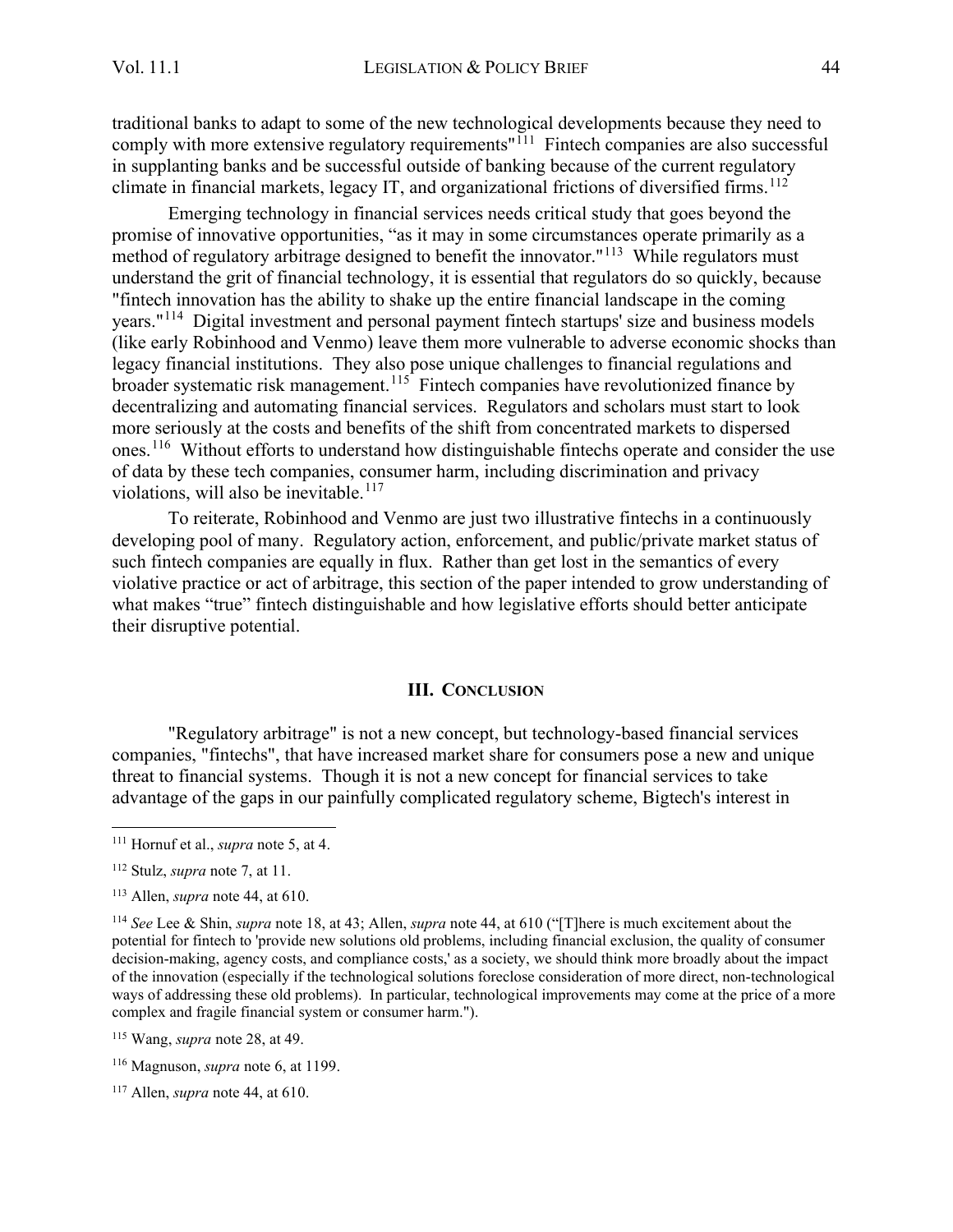traditional banks to adapt to some of the new technological developments because they need to comply with more extensive regulatory requirements"<sup>[111](#page-21-1)</sup> Fintech companies are also successful in supplanting banks and be successful outside of banking because of the current regulatory climate in financial markets, legacy IT, and organizational frictions of diversified firms.<sup>[112](#page-21-2)</sup>

Emerging technology in financial services needs critical study that goes beyond the promise of innovative opportunities, "as it may in some circumstances operate primarily as a method of regulatory arbitrage designed to benefit the innovator."<sup>[113](#page-21-3)</sup> While regulators must understand the grit of financial technology, it is essential that regulators do so quickly, because "fintech innovation has the ability to shake up the entire financial landscape in the coming years."[114](#page-21-4) Digital investment and personal payment fintech startups' size and business models (like early Robinhood and Venmo) leave them more vulnerable to adverse economic shocks than legacy financial institutions. They also pose unique challenges to financial regulations and broader systematic risk management.<sup>[115](#page-21-5)</sup> Fintech companies have revolutionized finance by decentralizing and automating financial services. Regulators and scholars must start to look more seriously at the costs and benefits of the shift from concentrated markets to dispersed ones.<sup>[116](#page-21-6)</sup> Without efforts to understand how distinguishable fintechs operate and consider the use of data by these tech companies, consumer harm, including discrimination and privacy violations, will also be inevitable.<sup>[117](#page-21-7)</sup>

To reiterate, Robinhood and Venmo are just two illustrative fintechs in a continuously developing pool of many. Regulatory action, enforcement, and public/private market status of such fintech companies are equally in flux. Rather than get lost in the semantics of every violative practice or act of arbitrage, this section of the paper intended to grow understanding of what makes "true" fintech distinguishable and how legislative efforts should better anticipate their disruptive potential.

#### **III. CONCLUSION**

<span id="page-21-0"></span>"Regulatory arbitrage" is not a new concept, but technology-based financial services companies, "fintechs", that have increased market share for consumers pose a new and unique threat to financial systems. Though it is not a new concept for financial services to take advantage of the gaps in our painfully complicated regulatory scheme, Bigtech's interest in

<span id="page-21-1"></span><sup>111</sup> Hornuf et al., *supra* note 5, at 4.

<span id="page-21-2"></span><sup>112</sup> Stulz, *supra* note 7, at 11.

<span id="page-21-3"></span><sup>113</sup> Allen, *supra* note 44, at 610.

<span id="page-21-4"></span><sup>114</sup> *See* Lee & Shin, *supra* note 18, at 43; Allen, *supra* note 44, at 610 ("[T]here is much excitement about the potential for fintech to 'provide new solutions old problems, including financial exclusion, the quality of consumer decision-making, agency costs, and compliance costs,' as a society, we should think more broadly about the impact of the innovation (especially if the technological solutions foreclose consideration of more direct, non-technological ways of addressing these old problems). In particular, technological improvements may come at the price of a more complex and fragile financial system or consumer harm.").

<span id="page-21-5"></span><sup>115</sup> Wang, *supra* note 28, at 49.

<span id="page-21-6"></span><sup>116</sup> Magnuson, *supra* note 6, at 1199.

<span id="page-21-7"></span><sup>117</sup> Allen, *supra* note 44, at 610.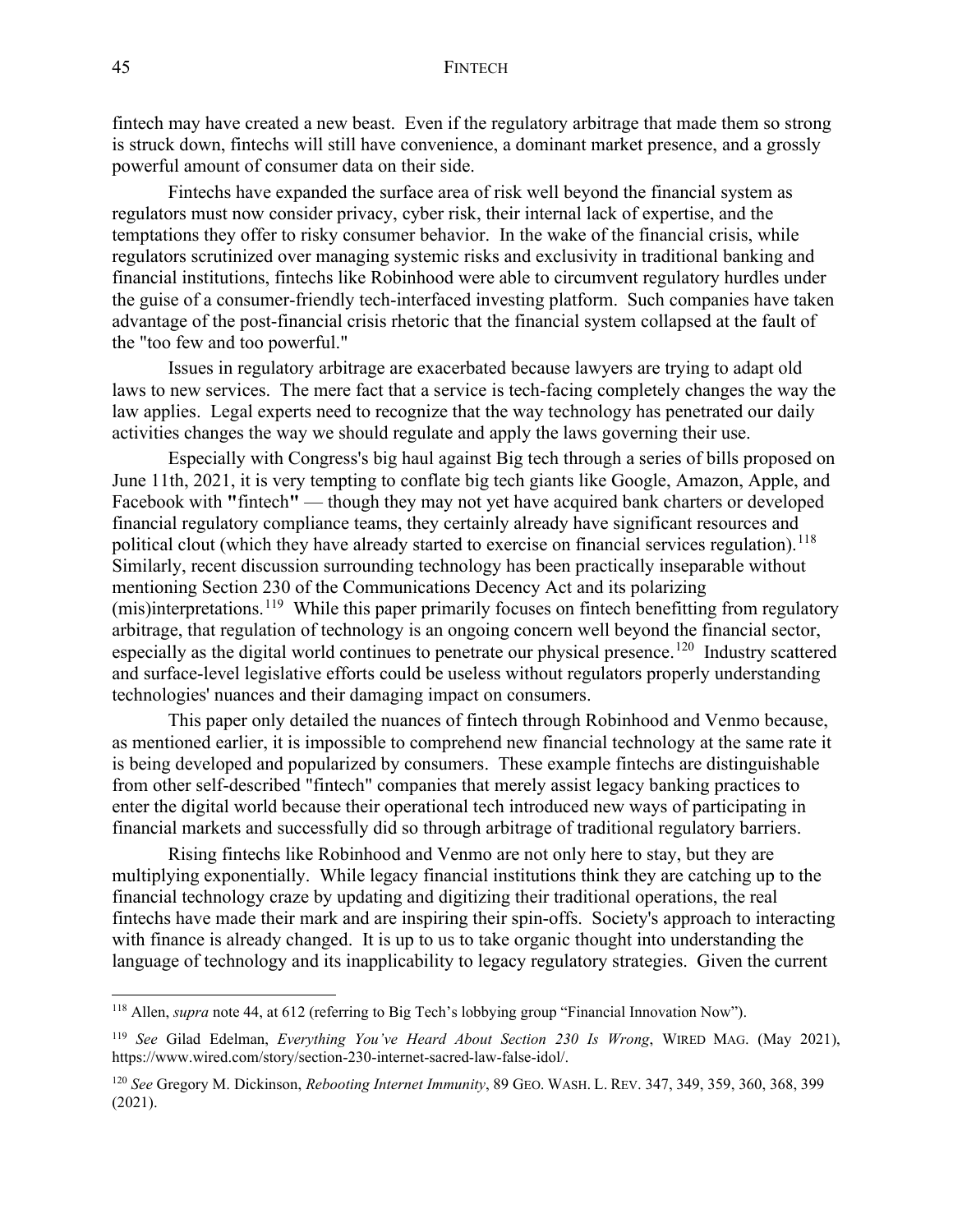fintech may have created a new beast. Even if the regulatory arbitrage that made them so strong is struck down, fintechs will still have convenience, a dominant market presence, and a grossly powerful amount of consumer data on their side.

Fintechs have expanded the surface area of risk well beyond the financial system as regulators must now consider privacy, cyber risk, their internal lack of expertise, and the temptations they offer to risky consumer behavior. In the wake of the financial crisis, while regulators scrutinized over managing systemic risks and exclusivity in traditional banking and financial institutions, fintechs like Robinhood were able to circumvent regulatory hurdles under the guise of a consumer-friendly tech-interfaced investing platform. Such companies have taken advantage of the post-financial crisis rhetoric that the financial system collapsed at the fault of the "too few and too powerful."

Issues in regulatory arbitrage are exacerbated because lawyers are trying to adapt old laws to new services. The mere fact that a service is tech-facing completely changes the way the law applies. Legal experts need to recognize that the way technology has penetrated our daily activities changes the way we should regulate and apply the laws governing their use.

Especially with Congress's big haul against Big tech through a series of bills proposed on June 11th, 2021, it is very tempting to conflate big tech giants like Google, Amazon, Apple, and Facebook with **"**fintech**"** — though they may not yet have acquired bank charters or developed financial regulatory compliance teams, they certainly already have significant resources and political clout (which they have already started to exercise on financial services regulation).  $^{118}$  $^{118}$  $^{118}$ Similarly, recent discussion surrounding technology has been practically inseparable without mentioning Section 230 of the Communications Decency Act and its polarizing (mis)interpretations.[119](#page-22-1) While this paper primarily focuses on fintech benefitting from regulatory arbitrage, that regulation of technology is an ongoing concern well beyond the financial sector, especially as the digital world continues to penetrate our physical presence.<sup>[120](#page-22-2)</sup> Industry scattered and surface-level legislative efforts could be useless without regulators properly understanding technologies' nuances and their damaging impact on consumers.

This paper only detailed the nuances of fintech through Robinhood and Venmo because, as mentioned earlier, it is impossible to comprehend new financial technology at the same rate it is being developed and popularized by consumers. These example fintechs are distinguishable from other self-described "fintech" companies that merely assist legacy banking practices to enter the digital world because their operational tech introduced new ways of participating in financial markets and successfully did so through arbitrage of traditional regulatory barriers.

Rising fintechs like Robinhood and Venmo are not only here to stay, but they are multiplying exponentially. While legacy financial institutions think they are catching up to the financial technology craze by updating and digitizing their traditional operations, the real fintechs have made their mark and are inspiring their spin-offs. Society's approach to interacting with finance is already changed. It is up to us to take organic thought into understanding the language of technology and its inapplicability to legacy regulatory strategies. Given the current

<span id="page-22-0"></span><sup>118</sup> Allen, *supra* note 44, at 612 (referring to Big Tech's lobbying group "Financial Innovation Now").

<span id="page-22-1"></span><sup>119</sup> *See* Gilad Edelman, *Everything You've Heard About Section 230 Is Wrong*, WIRED MAG. (May 2021), https://www.wired.com/story/section-230-internet-sacred-law-false-idol/.

<span id="page-22-2"></span><sup>120</sup> *See* Gregory M. Dickinson, *Rebooting Internet Immunity*, 89 GEO. WASH. L. REV. 347, 349, 359, 360, 368, 399 (2021).